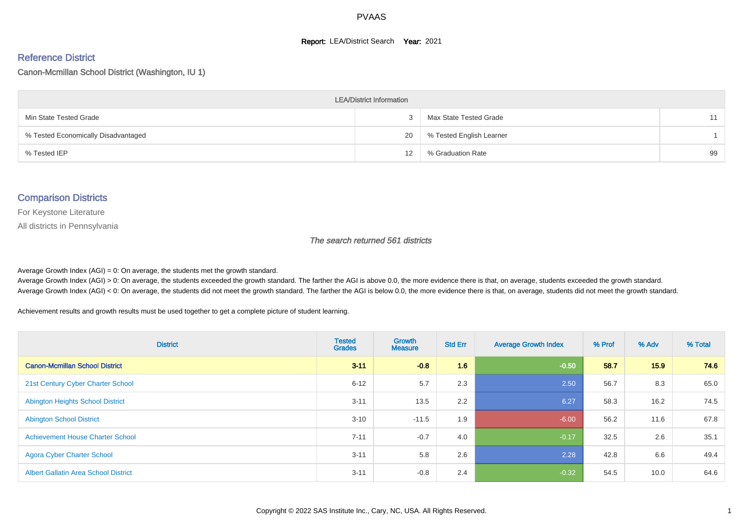#### **Report: LEA/District Search Year: 2021**

#### Reference District

Canon-Mcmillan School District (Washington, IU 1)

| <b>LEA/District Information</b>     |    |                          |    |  |  |  |  |  |  |  |
|-------------------------------------|----|--------------------------|----|--|--|--|--|--|--|--|
| Min State Tested Grade              |    | Max State Tested Grade   | 11 |  |  |  |  |  |  |  |
| % Tested Economically Disadvantaged | 20 | % Tested English Learner |    |  |  |  |  |  |  |  |
| % Tested IEP                        | 12 | % Graduation Rate        | 99 |  |  |  |  |  |  |  |

#### Comparison Districts

For Keystone Literature

All districts in Pennsylvania

The search returned 561 districts

Average Growth Index  $(AGI) = 0$ : On average, the students met the growth standard.

Average Growth Index (AGI) > 0: On average, the students exceeded the growth standard. The farther the AGI is above 0.0, the more evidence there is that, on average, students exceeded the growth standard. Average Growth Index (AGI) < 0: On average, the students did not meet the growth standard. The farther the AGI is below 0.0, the more evidence there is that, on average, students did not meet the growth standard.

Achievement results and growth results must be used together to get a complete picture of student learning.

| <b>District</b>                             | <b>Tested</b><br><b>Grades</b> | <b>Growth</b><br><b>Measure</b> | <b>Std Err</b> | <b>Average Growth Index</b> | % Prof | % Adv | % Total |
|---------------------------------------------|--------------------------------|---------------------------------|----------------|-----------------------------|--------|-------|---------|
| <b>Canon-Mcmillan School District</b>       | $3 - 11$                       | $-0.8$                          | 1.6            | $-0.50$                     | 58.7   | 15.9  | 74.6    |
| 21st Century Cyber Charter School           | $6 - 12$                       | 5.7                             | 2.3            | 2.50                        | 56.7   | 8.3   | 65.0    |
| <b>Abington Heights School District</b>     | $3 - 11$                       | 13.5                            | 2.2            | 6.27                        | 58.3   | 16.2  | 74.5    |
| <b>Abington School District</b>             | $3 - 10$                       | $-11.5$                         | 1.9            | $-6.00$                     | 56.2   | 11.6  | 67.8    |
| <b>Achievement House Charter School</b>     | $7 - 11$                       | $-0.7$                          | 4.0            | $-0.17$                     | 32.5   | 2.6   | 35.1    |
| <b>Agora Cyber Charter School</b>           | $3 - 11$                       | 5.8                             | 2.6            | 2.28                        | 42.8   | 6.6   | 49.4    |
| <b>Albert Gallatin Area School District</b> | $3 - 11$                       | $-0.8$                          | 2.4            | $-0.32$                     | 54.5   | 10.0  | 64.6    |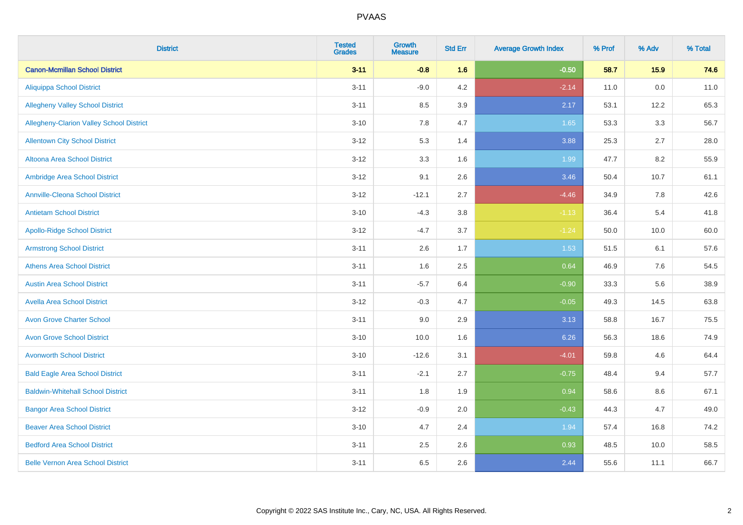| <b>District</b>                          | <b>Tested</b><br><b>Grades</b> | <b>Growth</b><br><b>Measure</b> | <b>Std Err</b> | <b>Average Growth Index</b> | % Prof | % Adv | % Total |
|------------------------------------------|--------------------------------|---------------------------------|----------------|-----------------------------|--------|-------|---------|
| <b>Canon-Mcmillan School District</b>    | $3 - 11$                       | $-0.8$                          | 1.6            | $-0.50$                     | 58.7   | 15.9  | 74.6    |
| <b>Aliquippa School District</b>         | $3 - 11$                       | $-9.0$                          | 4.2            | $-2.14$                     | 11.0   | 0.0   | 11.0    |
| <b>Allegheny Valley School District</b>  | $3 - 11$                       | 8.5                             | 3.9            | 2.17                        | 53.1   | 12.2  | 65.3    |
| Allegheny-Clarion Valley School District | $3 - 10$                       | 7.8                             | 4.7            | 1.65                        | 53.3   | 3.3   | 56.7    |
| <b>Allentown City School District</b>    | $3 - 12$                       | 5.3                             | 1.4            | 3.88                        | 25.3   | 2.7   | 28.0    |
| <b>Altoona Area School District</b>      | $3 - 12$                       | 3.3                             | 1.6            | 1.99                        | 47.7   | 8.2   | 55.9    |
| Ambridge Area School District            | $3 - 12$                       | 9.1                             | 2.6            | 3.46                        | 50.4   | 10.7  | 61.1    |
| <b>Annville-Cleona School District</b>   | $3 - 12$                       | $-12.1$                         | 2.7            | $-4.46$                     | 34.9   | 7.8   | 42.6    |
| <b>Antietam School District</b>          | $3 - 10$                       | $-4.3$                          | 3.8            | $-1.13$                     | 36.4   | 5.4   | 41.8    |
| <b>Apollo-Ridge School District</b>      | $3 - 12$                       | $-4.7$                          | 3.7            | $-1.24$                     | 50.0   | 10.0  | 60.0    |
| <b>Armstrong School District</b>         | $3 - 11$                       | 2.6                             | 1.7            | 1.53                        | 51.5   | 6.1   | 57.6    |
| <b>Athens Area School District</b>       | $3 - 11$                       | 1.6                             | 2.5            | 0.64                        | 46.9   | 7.6   | 54.5    |
| <b>Austin Area School District</b>       | $3 - 11$                       | $-5.7$                          | 6.4            | $-0.90$                     | 33.3   | 5.6   | 38.9    |
| <b>Avella Area School District</b>       | $3 - 12$                       | $-0.3$                          | 4.7            | $-0.05$                     | 49.3   | 14.5  | 63.8    |
| <b>Avon Grove Charter School</b>         | $3 - 11$                       | 9.0                             | 2.9            | 3.13                        | 58.8   | 16.7  | 75.5    |
| <b>Avon Grove School District</b>        | $3 - 10$                       | 10.0                            | 1.6            | 6.26                        | 56.3   | 18.6  | 74.9    |
| <b>Avonworth School District</b>         | $3 - 10$                       | $-12.6$                         | 3.1            | $-4.01$                     | 59.8   | 4.6   | 64.4    |
| <b>Bald Eagle Area School District</b>   | $3 - 11$                       | $-2.1$                          | 2.7            | $-0.75$                     | 48.4   | 9.4   | 57.7    |
| <b>Baldwin-Whitehall School District</b> | $3 - 11$                       | 1.8                             | 1.9            | 0.94                        | 58.6   | 8.6   | 67.1    |
| <b>Bangor Area School District</b>       | $3 - 12$                       | $-0.9$                          | 2.0            | $-0.43$                     | 44.3   | 4.7   | 49.0    |
| <b>Beaver Area School District</b>       | $3 - 10$                       | 4.7                             | 2.4            | 1.94                        | 57.4   | 16.8  | 74.2    |
| <b>Bedford Area School District</b>      | $3 - 11$                       | 2.5                             | 2.6            | 0.93                        | 48.5   | 10.0  | 58.5    |
| <b>Belle Vernon Area School District</b> | $3 - 11$                       | 6.5                             | 2.6            | 2.44                        | 55.6   | 11.1  | 66.7    |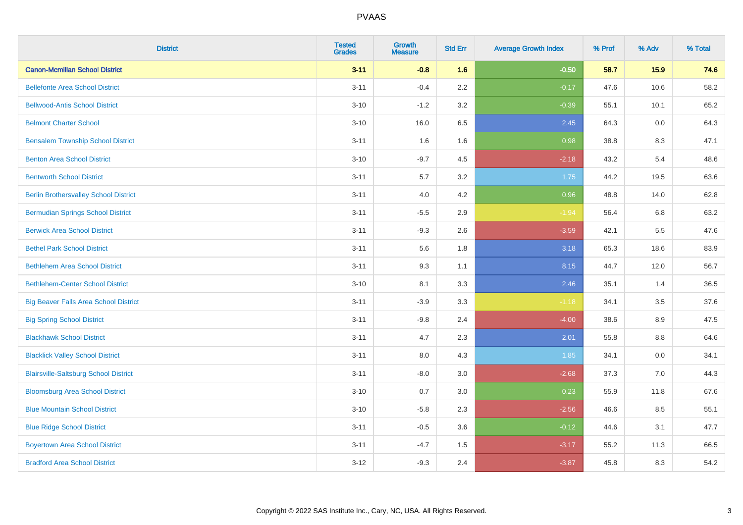| <b>District</b>                              | <b>Tested</b><br><b>Grades</b> | <b>Growth</b><br><b>Measure</b> | <b>Std Err</b> | <b>Average Growth Index</b> | % Prof | % Adv   | % Total |
|----------------------------------------------|--------------------------------|---------------------------------|----------------|-----------------------------|--------|---------|---------|
| <b>Canon-Mcmillan School District</b>        | $3 - 11$                       | $-0.8$                          | 1.6            | $-0.50$                     | 58.7   | 15.9    | 74.6    |
| <b>Bellefonte Area School District</b>       | $3 - 11$                       | $-0.4$                          | 2.2            | $-0.17$                     | 47.6   | 10.6    | 58.2    |
| <b>Bellwood-Antis School District</b>        | $3 - 10$                       | $-1.2$                          | 3.2            | $-0.39$                     | 55.1   | 10.1    | 65.2    |
| <b>Belmont Charter School</b>                | $3 - 10$                       | 16.0                            | 6.5            | 2.45                        | 64.3   | 0.0     | 64.3    |
| <b>Bensalem Township School District</b>     | $3 - 11$                       | 1.6                             | 1.6            | 0.98                        | 38.8   | 8.3     | 47.1    |
| <b>Benton Area School District</b>           | $3 - 10$                       | $-9.7$                          | 4.5            | $-2.18$                     | 43.2   | 5.4     | 48.6    |
| <b>Bentworth School District</b>             | $3 - 11$                       | 5.7                             | 3.2            | 1.75                        | 44.2   | 19.5    | 63.6    |
| <b>Berlin Brothersvalley School District</b> | $3 - 11$                       | 4.0                             | 4.2            | 0.96                        | 48.8   | 14.0    | 62.8    |
| <b>Bermudian Springs School District</b>     | $3 - 11$                       | $-5.5$                          | 2.9            | $-1.94$                     | 56.4   | 6.8     | 63.2    |
| <b>Berwick Area School District</b>          | $3 - 11$                       | $-9.3$                          | 2.6            | $-3.59$                     | 42.1   | 5.5     | 47.6    |
| <b>Bethel Park School District</b>           | $3 - 11$                       | 5.6                             | 1.8            | 3.18                        | 65.3   | 18.6    | 83.9    |
| <b>Bethlehem Area School District</b>        | $3 - 11$                       | 9.3                             | 1.1            | 8.15                        | 44.7   | 12.0    | 56.7    |
| <b>Bethlehem-Center School District</b>      | $3 - 10$                       | 8.1                             | 3.3            | 2.46                        | 35.1   | 1.4     | 36.5    |
| <b>Big Beaver Falls Area School District</b> | $3 - 11$                       | $-3.9$                          | 3.3            | $-1.18$                     | 34.1   | 3.5     | 37.6    |
| <b>Big Spring School District</b>            | $3 - 11$                       | $-9.8$                          | 2.4            | $-4.00$                     | 38.6   | 8.9     | 47.5    |
| <b>Blackhawk School District</b>             | $3 - 11$                       | 4.7                             | 2.3            | 2.01                        | 55.8   | $8.8\,$ | 64.6    |
| <b>Blacklick Valley School District</b>      | $3 - 11$                       | 8.0                             | 4.3            | 1.85                        | 34.1   | 0.0     | 34.1    |
| <b>Blairsville-Saltsburg School District</b> | $3 - 11$                       | $-8.0$                          | 3.0            | $-2.68$                     | 37.3   | 7.0     | 44.3    |
| <b>Bloomsburg Area School District</b>       | $3 - 10$                       | 0.7                             | 3.0            | 0.23                        | 55.9   | 11.8    | 67.6    |
| <b>Blue Mountain School District</b>         | $3 - 10$                       | $-5.8$                          | 2.3            | $-2.56$                     | 46.6   | 8.5     | 55.1    |
| <b>Blue Ridge School District</b>            | $3 - 11$                       | $-0.5$                          | 3.6            | $-0.12$                     | 44.6   | 3.1     | 47.7    |
| <b>Boyertown Area School District</b>        | $3 - 11$                       | $-4.7$                          | 1.5            | $-3.17$                     | 55.2   | 11.3    | 66.5    |
| <b>Bradford Area School District</b>         | $3 - 12$                       | $-9.3$                          | 2.4            | $-3.87$                     | 45.8   | 8.3     | 54.2    |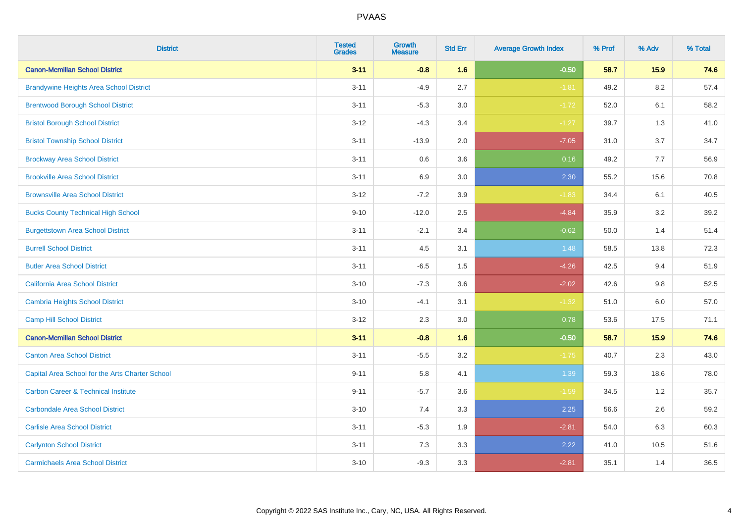| <b>District</b>                                 | <b>Tested</b><br><b>Grades</b> | <b>Growth</b><br><b>Measure</b> | <b>Std Err</b> | <b>Average Growth Index</b> | % Prof | % Adv | % Total |
|-------------------------------------------------|--------------------------------|---------------------------------|----------------|-----------------------------|--------|-------|---------|
| <b>Canon-Mcmillan School District</b>           | $3 - 11$                       | $-0.8$                          | 1.6            | $-0.50$                     | 58.7   | 15.9  | 74.6    |
| <b>Brandywine Heights Area School District</b>  | $3 - 11$                       | $-4.9$                          | 2.7            | $-1.81$                     | 49.2   | 8.2   | 57.4    |
| <b>Brentwood Borough School District</b>        | $3 - 11$                       | $-5.3$                          | 3.0            | $-1.72$                     | 52.0   | 6.1   | 58.2    |
| <b>Bristol Borough School District</b>          | $3 - 12$                       | $-4.3$                          | 3.4            | $-1.27$                     | 39.7   | 1.3   | 41.0    |
| <b>Bristol Township School District</b>         | $3 - 11$                       | $-13.9$                         | 2.0            | $-7.05$                     | 31.0   | 3.7   | 34.7    |
| <b>Brockway Area School District</b>            | $3 - 11$                       | 0.6                             | 3.6            | 0.16                        | 49.2   | 7.7   | 56.9    |
| <b>Brookville Area School District</b>          | $3 - 11$                       | 6.9                             | 3.0            | 2.30                        | 55.2   | 15.6  | 70.8    |
| <b>Brownsville Area School District</b>         | $3 - 12$                       | $-7.2$                          | 3.9            | $-1.83$                     | 34.4   | 6.1   | 40.5    |
| <b>Bucks County Technical High School</b>       | $9 - 10$                       | $-12.0$                         | 2.5            | $-4.84$                     | 35.9   | 3.2   | 39.2    |
| <b>Burgettstown Area School District</b>        | $3 - 11$                       | $-2.1$                          | 3.4            | $-0.62$                     | 50.0   | 1.4   | 51.4    |
| <b>Burrell School District</b>                  | $3 - 11$                       | 4.5                             | 3.1            | 1.48                        | 58.5   | 13.8  | 72.3    |
| <b>Butler Area School District</b>              | $3 - 11$                       | $-6.5$                          | 1.5            | $-4.26$                     | 42.5   | 9.4   | 51.9    |
| California Area School District                 | $3 - 10$                       | $-7.3$                          | 3.6            | $-2.02$                     | 42.6   | 9.8   | 52.5    |
| Cambria Heights School District                 | $3 - 10$                       | $-4.1$                          | 3.1            | $-1.32$                     | 51.0   | 6.0   | 57.0    |
| <b>Camp Hill School District</b>                | $3 - 12$                       | 2.3                             | 3.0            | 0.78                        | 53.6   | 17.5  | 71.1    |
| <b>Canon-Mcmillan School District</b>           | $3 - 11$                       | $-0.8$                          | 1.6            | $-0.50$                     | 58.7   | 15.9  | 74.6    |
| <b>Canton Area School District</b>              | $3 - 11$                       | $-5.5$                          | 3.2            | $-1.75$                     | 40.7   | 2.3   | 43.0    |
| Capital Area School for the Arts Charter School | $9 - 11$                       | 5.8                             | 4.1            | 1.39                        | 59.3   | 18.6  | 78.0    |
| <b>Carbon Career &amp; Technical Institute</b>  | $9 - 11$                       | $-5.7$                          | 3.6            | $-1.59$                     | 34.5   | 1.2   | 35.7    |
| <b>Carbondale Area School District</b>          | $3 - 10$                       | 7.4                             | 3.3            | 2.25                        | 56.6   | 2.6   | 59.2    |
| <b>Carlisle Area School District</b>            | $3 - 11$                       | $-5.3$                          | 1.9            | $-2.81$                     | 54.0   | 6.3   | 60.3    |
| <b>Carlynton School District</b>                | $3 - 11$                       | 7.3                             | 3.3            | 2.22                        | 41.0   | 10.5  | 51.6    |
| <b>Carmichaels Area School District</b>         | $3 - 10$                       | $-9.3$                          | 3.3            | $-2.81$                     | 35.1   | 1.4   | 36.5    |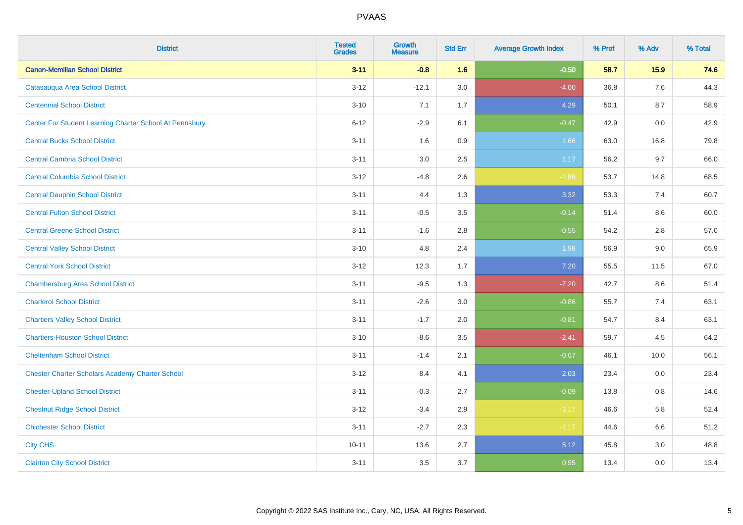| <b>District</b>                                         | <b>Tested</b><br><b>Grades</b> | <b>Growth</b><br><b>Measure</b> | <b>Std Err</b> | <b>Average Growth Index</b> | % Prof | % Adv | % Total |
|---------------------------------------------------------|--------------------------------|---------------------------------|----------------|-----------------------------|--------|-------|---------|
| <b>Canon-Mcmillan School District</b>                   | $3 - 11$                       | $-0.8$                          | 1.6            | $-0.50$                     | 58.7   | 15.9  | 74.6    |
| Catasauqua Area School District                         | $3 - 12$                       | $-12.1$                         | 3.0            | $-4.00$                     | 36.8   | 7.6   | 44.3    |
| <b>Centennial School District</b>                       | $3 - 10$                       | 7.1                             | 1.7            | 4.29                        | 50.1   | 8.7   | 58.9    |
| Center For Student Learning Charter School At Pennsbury | $6 - 12$                       | $-2.9$                          | 6.1            | $-0.47$                     | 42.9   | 0.0   | 42.9    |
| <b>Central Bucks School District</b>                    | $3 - 11$                       | 1.6                             | 0.9            | 1.66                        | 63.0   | 16.8  | 79.8    |
| <b>Central Cambria School District</b>                  | $3 - 11$                       | 3.0                             | 2.5            | 1.17                        | 56.2   | 9.7   | 66.0    |
| <b>Central Columbia School District</b>                 | $3 - 12$                       | $-4.8$                          | 2.6            | $-1.86$                     | 53.7   | 14.8  | 68.5    |
| <b>Central Dauphin School District</b>                  | $3 - 11$                       | 4.4                             | 1.3            | 3.32                        | 53.3   | 7.4   | 60.7    |
| <b>Central Fulton School District</b>                   | $3 - 11$                       | $-0.5$                          | $3.5\,$        | $-0.14$                     | 51.4   | 8.6   | 60.0    |
| <b>Central Greene School District</b>                   | $3 - 11$                       | $-1.6$                          | 2.8            | $-0.55$                     | 54.2   | 2.8   | 57.0    |
| <b>Central Valley School District</b>                   | $3 - 10$                       | 4.8                             | 2.4            | 1.98                        | 56.9   | 9.0   | 65.9    |
| <b>Central York School District</b>                     | $3-12$                         | 12.3                            | 1.7            | 7.20                        | 55.5   | 11.5  | 67.0    |
| <b>Chambersburg Area School District</b>                | $3 - 11$                       | $-9.5$                          | 1.3            | $-7.20$                     | 42.7   | 8.6   | 51.4    |
| <b>Charleroi School District</b>                        | $3 - 11$                       | $-2.6$                          | 3.0            | $-0.86$                     | 55.7   | 7.4   | 63.1    |
| <b>Chartiers Valley School District</b>                 | $3 - 11$                       | $-1.7$                          | 2.0            | $-0.81$                     | 54.7   | 8.4   | 63.1    |
| <b>Chartiers-Houston School District</b>                | $3 - 10$                       | $-8.6$                          | 3.5            | $-2.41$                     | 59.7   | 4.5   | 64.2    |
| <b>Cheltenham School District</b>                       | $3 - 11$                       | $-1.4$                          | 2.1            | $-0.67$                     | 46.1   | 10.0  | 56.1    |
| <b>Chester Charter Scholars Academy Charter School</b>  | $3 - 12$                       | 8.4                             | 4.1            | 2.03                        | 23.4   | 0.0   | 23.4    |
| <b>Chester-Upland School District</b>                   | $3 - 11$                       | $-0.3$                          | 2.7            | $-0.09$                     | 13.8   | 0.8   | 14.6    |
| <b>Chestnut Ridge School District</b>                   | $3 - 12$                       | $-3.4$                          | 2.9            | $-1.17$                     | 46.6   | 5.8   | 52.4    |
| <b>Chichester School District</b>                       | $3 - 11$                       | $-2.7$                          | 2.3            | $-1.17$                     | 44.6   | 6.6   | 51.2    |
| <b>City CHS</b>                                         | $10 - 11$                      | 13.6                            | 2.7            | 5.12                        | 45.8   | 3.0   | 48.8    |
| <b>Clairton City School District</b>                    | $3 - 11$                       | 3.5                             | 3.7            | 0.95                        | 13.4   | 0.0   | 13.4    |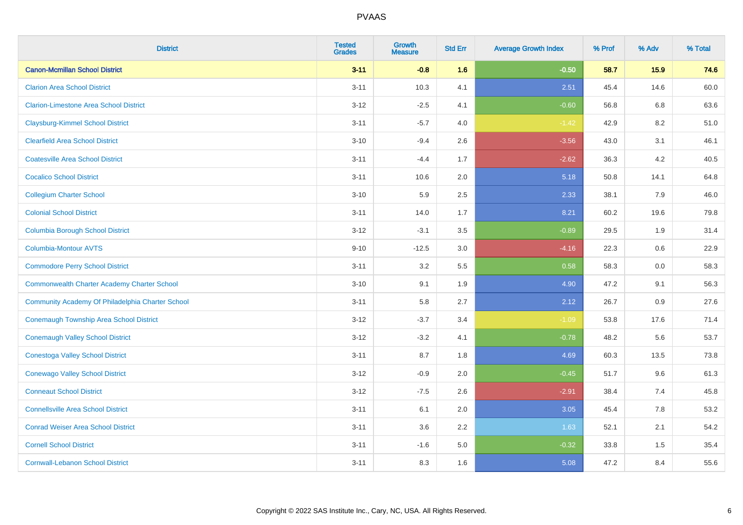| <b>District</b>                                  | <b>Tested</b><br><b>Grades</b> | Growth<br><b>Measure</b> | <b>Std Err</b> | <b>Average Growth Index</b> | % Prof | % Adv   | % Total |
|--------------------------------------------------|--------------------------------|--------------------------|----------------|-----------------------------|--------|---------|---------|
| <b>Canon-Mcmillan School District</b>            | $3 - 11$                       | $-0.8$                   | 1.6            | $-0.50$                     | 58.7   | 15.9    | 74.6    |
| <b>Clarion Area School District</b>              | $3 - 11$                       | 10.3                     | 4.1            | 2.51                        | 45.4   | 14.6    | 60.0    |
| <b>Clarion-Limestone Area School District</b>    | $3 - 12$                       | $-2.5$                   | 4.1            | $-0.60$                     | 56.8   | 6.8     | 63.6    |
| <b>Claysburg-Kimmel School District</b>          | $3 - 11$                       | $-5.7$                   | 4.0            | $-1.42$                     | 42.9   | $8.2\,$ | 51.0    |
| <b>Clearfield Area School District</b>           | $3 - 10$                       | $-9.4$                   | 2.6            | $-3.56$                     | 43.0   | 3.1     | 46.1    |
| <b>Coatesville Area School District</b>          | $3 - 11$                       | $-4.4$                   | 1.7            | $-2.62$                     | 36.3   | 4.2     | 40.5    |
| <b>Cocalico School District</b>                  | $3 - 11$                       | 10.6                     | 2.0            | 5.18                        | 50.8   | 14.1    | 64.8    |
| <b>Collegium Charter School</b>                  | $3 - 10$                       | 5.9                      | 2.5            | 2.33                        | 38.1   | 7.9     | 46.0    |
| <b>Colonial School District</b>                  | $3 - 11$                       | 14.0                     | 1.7            | 8.21                        | 60.2   | 19.6    | 79.8    |
| <b>Columbia Borough School District</b>          | $3 - 12$                       | $-3.1$                   | 3.5            | $-0.89$                     | 29.5   | 1.9     | 31.4    |
| <b>Columbia-Montour AVTS</b>                     | $9 - 10$                       | $-12.5$                  | 3.0            | $-4.16$                     | 22.3   | 0.6     | 22.9    |
| <b>Commodore Perry School District</b>           | $3 - 11$                       | 3.2                      | 5.5            | 0.58                        | 58.3   | 0.0     | 58.3    |
| Commonwealth Charter Academy Charter School      | $3 - 10$                       | 9.1                      | 1.9            | 4.90                        | 47.2   | 9.1     | 56.3    |
| Community Academy Of Philadelphia Charter School | $3 - 11$                       | 5.8                      | 2.7            | 2.12                        | 26.7   | 0.9     | 27.6    |
| <b>Conemaugh Township Area School District</b>   | $3 - 12$                       | $-3.7$                   | 3.4            | $-1.09$                     | 53.8   | 17.6    | 71.4    |
| <b>Conemaugh Valley School District</b>          | $3 - 12$                       | $-3.2$                   | 4.1            | $-0.78$                     | 48.2   | 5.6     | 53.7    |
| <b>Conestoga Valley School District</b>          | $3 - 11$                       | 8.7                      | 1.8            | 4.69                        | 60.3   | 13.5    | 73.8    |
| <b>Conewago Valley School District</b>           | $3 - 12$                       | $-0.9$                   | 2.0            | $-0.45$                     | 51.7   | 9.6     | 61.3    |
| <b>Conneaut School District</b>                  | $3 - 12$                       | $-7.5$                   | 2.6            | $-2.91$                     | 38.4   | 7.4     | 45.8    |
| <b>Connellsville Area School District</b>        | $3 - 11$                       | 6.1                      | 2.0            | 3.05                        | 45.4   | 7.8     | 53.2    |
| <b>Conrad Weiser Area School District</b>        | $3 - 11$                       | 3.6                      | 2.2            | 1.63                        | 52.1   | 2.1     | 54.2    |
| <b>Cornell School District</b>                   | $3 - 11$                       | $-1.6$                   | 5.0            | $-0.32$                     | 33.8   | 1.5     | 35.4    |
| <b>Cornwall-Lebanon School District</b>          | $3 - 11$                       | 8.3                      | 1.6            | 5.08                        | 47.2   | 8.4     | 55.6    |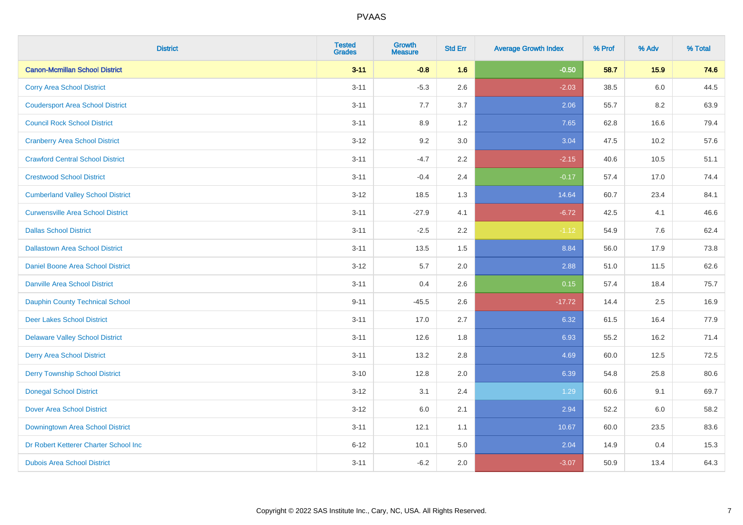| <b>District</b>                          | <b>Tested</b><br><b>Grades</b> | <b>Growth</b><br><b>Measure</b> | <b>Std Err</b> | <b>Average Growth Index</b> | % Prof | % Adv | % Total |
|------------------------------------------|--------------------------------|---------------------------------|----------------|-----------------------------|--------|-------|---------|
| <b>Canon-Mcmillan School District</b>    | $3 - 11$                       | $-0.8$                          | 1.6            | $-0.50$                     | 58.7   | 15.9  | 74.6    |
| <b>Corry Area School District</b>        | $3 - 11$                       | $-5.3$                          | 2.6            | $-2.03$                     | 38.5   | 6.0   | 44.5    |
| <b>Coudersport Area School District</b>  | $3 - 11$                       | 7.7                             | 3.7            | 2.06                        | 55.7   | 8.2   | 63.9    |
| <b>Council Rock School District</b>      | $3 - 11$                       | 8.9                             | 1.2            | 7.65                        | 62.8   | 16.6  | 79.4    |
| <b>Cranberry Area School District</b>    | $3 - 12$                       | 9.2                             | 3.0            | 3.04                        | 47.5   | 10.2  | 57.6    |
| <b>Crawford Central School District</b>  | $3 - 11$                       | $-4.7$                          | 2.2            | $-2.15$                     | 40.6   | 10.5  | 51.1    |
| <b>Crestwood School District</b>         | $3 - 11$                       | $-0.4$                          | 2.4            | $-0.17$                     | 57.4   | 17.0  | 74.4    |
| <b>Cumberland Valley School District</b> | $3 - 12$                       | 18.5                            | 1.3            | 14.64                       | 60.7   | 23.4  | 84.1    |
| <b>Curwensville Area School District</b> | $3 - 11$                       | $-27.9$                         | 4.1            | $-6.72$                     | 42.5   | 4.1   | 46.6    |
| <b>Dallas School District</b>            | $3 - 11$                       | $-2.5$                          | 2.2            | $-1.12$                     | 54.9   | 7.6   | 62.4    |
| <b>Dallastown Area School District</b>   | $3 - 11$                       | 13.5                            | 1.5            | 8.84                        | 56.0   | 17.9  | 73.8    |
| <b>Daniel Boone Area School District</b> | $3 - 12$                       | 5.7                             | 2.0            | 2.88                        | 51.0   | 11.5  | 62.6    |
| Danville Area School District            | $3 - 11$                       | 0.4                             | 2.6            | 0.15                        | 57.4   | 18.4  | 75.7    |
| <b>Dauphin County Technical School</b>   | $9 - 11$                       | $-45.5$                         | 2.6            | $-17.72$                    | 14.4   | 2.5   | 16.9    |
| <b>Deer Lakes School District</b>        | $3 - 11$                       | 17.0                            | 2.7            | 6.32                        | 61.5   | 16.4  | 77.9    |
| <b>Delaware Valley School District</b>   | $3 - 11$                       | 12.6                            | 1.8            | 6.93                        | 55.2   | 16.2  | 71.4    |
| <b>Derry Area School District</b>        | $3 - 11$                       | 13.2                            | 2.8            | 4.69                        | 60.0   | 12.5  | 72.5    |
| <b>Derry Township School District</b>    | $3 - 10$                       | 12.8                            | 2.0            | 6.39                        | 54.8   | 25.8  | 80.6    |
| <b>Donegal School District</b>           | $3 - 12$                       | 3.1                             | 2.4            | 1.29                        | 60.6   | 9.1   | 69.7    |
| Dover Area School District               | $3 - 12$                       | 6.0                             | 2.1            | 2.94                        | 52.2   | 6.0   | 58.2    |
| Downingtown Area School District         | $3 - 11$                       | 12.1                            | 1.1            | 10.67                       | 60.0   | 23.5  | 83.6    |
| Dr Robert Ketterer Charter School Inc    | $6 - 12$                       | 10.1                            | 5.0            | 2.04                        | 14.9   | 0.4   | 15.3    |
| <b>Dubois Area School District</b>       | $3 - 11$                       | $-6.2$                          | 2.0            | $-3.07$                     | 50.9   | 13.4  | 64.3    |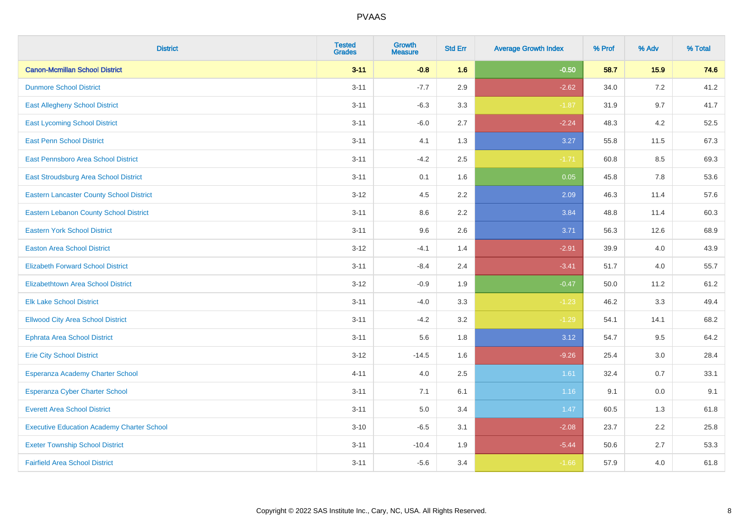| <b>District</b>                                   | <b>Tested</b><br><b>Grades</b> | <b>Growth</b><br><b>Measure</b> | <b>Std Err</b> | <b>Average Growth Index</b> | % Prof | % Adv | % Total |
|---------------------------------------------------|--------------------------------|---------------------------------|----------------|-----------------------------|--------|-------|---------|
| <b>Canon-Mcmillan School District</b>             | $3 - 11$                       | $-0.8$                          | 1.6            | $-0.50$                     | 58.7   | 15.9  | 74.6    |
| <b>Dunmore School District</b>                    | $3 - 11$                       | $-7.7$                          | 2.9            | $-2.62$                     | 34.0   | 7.2   | 41.2    |
| <b>East Allegheny School District</b>             | $3 - 11$                       | $-6.3$                          | 3.3            | $-1.87$                     | 31.9   | 9.7   | 41.7    |
| <b>East Lycoming School District</b>              | $3 - 11$                       | $-6.0$                          | 2.7            | $-2.24$                     | 48.3   | 4.2   | 52.5    |
| <b>East Penn School District</b>                  | $3 - 11$                       | 4.1                             | 1.3            | 3.27                        | 55.8   | 11.5  | 67.3    |
| <b>East Pennsboro Area School District</b>        | $3 - 11$                       | $-4.2$                          | 2.5            | $-1.71$                     | 60.8   | 8.5   | 69.3    |
| East Stroudsburg Area School District             | $3 - 11$                       | 0.1                             | 1.6            | 0.05                        | 45.8   | 7.8   | 53.6    |
| <b>Eastern Lancaster County School District</b>   | $3 - 12$                       | 4.5                             | 2.2            | 2.09                        | 46.3   | 11.4  | 57.6    |
| <b>Eastern Lebanon County School District</b>     | $3 - 11$                       | 8.6                             | 2.2            | 3.84                        | 48.8   | 11.4  | 60.3    |
| <b>Eastern York School District</b>               | $3 - 11$                       | 9.6                             | 2.6            | 3.71                        | 56.3   | 12.6  | 68.9    |
| <b>Easton Area School District</b>                | $3 - 12$                       | $-4.1$                          | 1.4            | $-2.91$                     | 39.9   | 4.0   | 43.9    |
| <b>Elizabeth Forward School District</b>          | $3 - 11$                       | $-8.4$                          | 2.4            | $-3.41$                     | 51.7   | 4.0   | 55.7    |
| Elizabethtown Area School District                | $3 - 12$                       | $-0.9$                          | 1.9            | $-0.47$                     | 50.0   | 11.2  | 61.2    |
| <b>Elk Lake School District</b>                   | $3 - 11$                       | $-4.0$                          | 3.3            | $-1.23$                     | 46.2   | 3.3   | 49.4    |
| <b>Ellwood City Area School District</b>          | $3 - 11$                       | $-4.2$                          | 3.2            | $-1.29$                     | 54.1   | 14.1  | 68.2    |
| <b>Ephrata Area School District</b>               | $3 - 11$                       | 5.6                             | 1.8            | 3.12                        | 54.7   | 9.5   | 64.2    |
| <b>Erie City School District</b>                  | $3 - 12$                       | $-14.5$                         | 1.6            | $-9.26$                     | 25.4   | 3.0   | 28.4    |
| Esperanza Academy Charter School                  | $4 - 11$                       | 4.0                             | 2.5            | 1.61                        | 32.4   | 0.7   | 33.1    |
| <b>Esperanza Cyber Charter School</b>             | $3 - 11$                       | 7.1                             | 6.1            | 1.16                        | 9.1    | 0.0   | 9.1     |
| <b>Everett Area School District</b>               | $3 - 11$                       | 5.0                             | 3.4            | 1.47                        | 60.5   | 1.3   | 61.8    |
| <b>Executive Education Academy Charter School</b> | $3 - 10$                       | $-6.5$                          | 3.1            | $-2.08$                     | 23.7   | 2.2   | 25.8    |
| <b>Exeter Township School District</b>            | $3 - 11$                       | $-10.4$                         | 1.9            | $-5.44$                     | 50.6   | 2.7   | 53.3    |
| <b>Fairfield Area School District</b>             | $3 - 11$                       | $-5.6$                          | 3.4            | $-1.66$                     | 57.9   | 4.0   | 61.8    |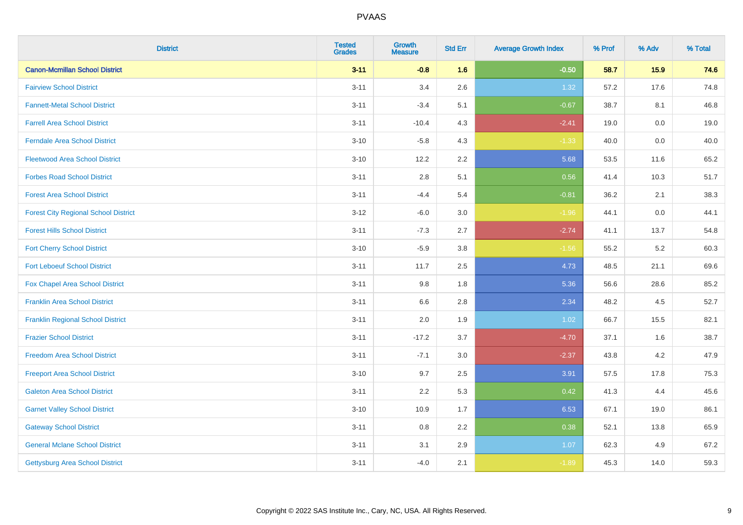| <b>District</b>                             | <b>Tested</b><br><b>Grades</b> | <b>Growth</b><br><b>Measure</b> | <b>Std Err</b> | <b>Average Growth Index</b> | % Prof | % Adv   | % Total |
|---------------------------------------------|--------------------------------|---------------------------------|----------------|-----------------------------|--------|---------|---------|
| <b>Canon-Mcmillan School District</b>       | $3 - 11$                       | $-0.8$                          | 1.6            | $-0.50$                     | 58.7   | 15.9    | 74.6    |
| <b>Fairview School District</b>             | $3 - 11$                       | 3.4                             | 2.6            | 1.32                        | 57.2   | 17.6    | 74.8    |
| <b>Fannett-Metal School District</b>        | $3 - 11$                       | $-3.4$                          | 5.1            | $-0.67$                     | 38.7   | 8.1     | 46.8    |
| <b>Farrell Area School District</b>         | $3 - 11$                       | $-10.4$                         | 4.3            | $-2.41$                     | 19.0   | $0.0\,$ | 19.0    |
| <b>Ferndale Area School District</b>        | $3 - 10$                       | $-5.8$                          | 4.3            | $-1.33$                     | 40.0   | 0.0     | 40.0    |
| <b>Fleetwood Area School District</b>       | $3 - 10$                       | 12.2                            | 2.2            | 5.68                        | 53.5   | 11.6    | 65.2    |
| <b>Forbes Road School District</b>          | $3 - 11$                       | $2.8\,$                         | 5.1            | 0.56                        | 41.4   | 10.3    | 51.7    |
| <b>Forest Area School District</b>          | $3 - 11$                       | $-4.4$                          | 5.4            | $-0.81$                     | 36.2   | 2.1     | 38.3    |
| <b>Forest City Regional School District</b> | $3 - 12$                       | $-6.0$                          | 3.0            | $-1.96$                     | 44.1   | $0.0\,$ | 44.1    |
| <b>Forest Hills School District</b>         | $3 - 11$                       | $-7.3$                          | 2.7            | $-2.74$                     | 41.1   | 13.7    | 54.8    |
| <b>Fort Cherry School District</b>          | $3 - 10$                       | $-5.9$                          | 3.8            | $-1.56$                     | 55.2   | $5.2\,$ | 60.3    |
| <b>Fort Leboeuf School District</b>         | $3 - 11$                       | 11.7                            | 2.5            | 4.73                        | 48.5   | 21.1    | 69.6    |
| Fox Chapel Area School District             | $3 - 11$                       | 9.8                             | 1.8            | 5.36                        | 56.6   | 28.6    | 85.2    |
| <b>Franklin Area School District</b>        | $3 - 11$                       | 6.6                             | 2.8            | 2.34                        | 48.2   | 4.5     | 52.7    |
| <b>Franklin Regional School District</b>    | $3 - 11$                       | 2.0                             | 1.9            | 1.02                        | 66.7   | 15.5    | 82.1    |
| <b>Frazier School District</b>              | $3 - 11$                       | $-17.2$                         | 3.7            | $-4.70$                     | 37.1   | 1.6     | 38.7    |
| <b>Freedom Area School District</b>         | $3 - 11$                       | $-7.1$                          | 3.0            | $-2.37$                     | 43.8   | 4.2     | 47.9    |
| <b>Freeport Area School District</b>        | $3 - 10$                       | 9.7                             | 2.5            | 3.91                        | 57.5   | 17.8    | 75.3    |
| <b>Galeton Area School District</b>         | $3 - 11$                       | 2.2                             | 5.3            | 0.42                        | 41.3   | 4.4     | 45.6    |
| <b>Garnet Valley School District</b>        | $3 - 10$                       | 10.9                            | 1.7            | 6.53                        | 67.1   | 19.0    | 86.1    |
| <b>Gateway School District</b>              | $3 - 11$                       | 0.8                             | 2.2            | 0.38                        | 52.1   | 13.8    | 65.9    |
| <b>General Mclane School District</b>       | $3 - 11$                       | 3.1                             | 2.9            | 1.07                        | 62.3   | 4.9     | 67.2    |
| Gettysburg Area School District             | $3 - 11$                       | $-4.0$                          | 2.1            | $-1.89$                     | 45.3   | 14.0    | 59.3    |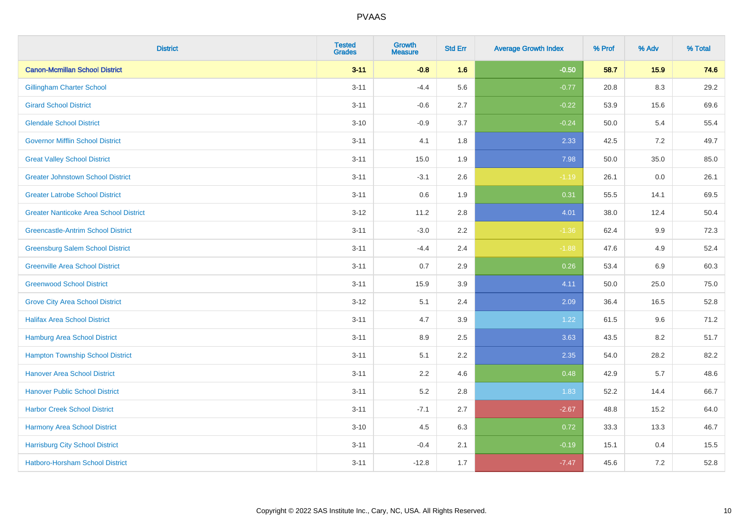| <b>District</b>                               | <b>Tested</b><br><b>Grades</b> | <b>Growth</b><br><b>Measure</b> | <b>Std Err</b> | <b>Average Growth Index</b> | % Prof | % Adv   | % Total |
|-----------------------------------------------|--------------------------------|---------------------------------|----------------|-----------------------------|--------|---------|---------|
| <b>Canon-Mcmillan School District</b>         | $3 - 11$                       | $-0.8$                          | 1.6            | $-0.50$                     | 58.7   | 15.9    | 74.6    |
| <b>Gillingham Charter School</b>              | $3 - 11$                       | $-4.4$                          | 5.6            | $-0.77$                     | 20.8   | $8.3\,$ | 29.2    |
| <b>Girard School District</b>                 | $3 - 11$                       | $-0.6$                          | 2.7            | $-0.22$                     | 53.9   | 15.6    | 69.6    |
| <b>Glendale School District</b>               | $3 - 10$                       | $-0.9$                          | 3.7            | $-0.24$                     | 50.0   | 5.4     | 55.4    |
| <b>Governor Mifflin School District</b>       | $3 - 11$                       | 4.1                             | 1.8            | 2.33                        | 42.5   | 7.2     | 49.7    |
| <b>Great Valley School District</b>           | $3 - 11$                       | 15.0                            | 1.9            | 7.98                        | 50.0   | 35.0    | 85.0    |
| <b>Greater Johnstown School District</b>      | $3 - 11$                       | $-3.1$                          | 2.6            | $-1.19$                     | 26.1   | 0.0     | 26.1    |
| <b>Greater Latrobe School District</b>        | $3 - 11$                       | 0.6                             | 1.9            | 0.31                        | 55.5   | 14.1    | 69.5    |
| <b>Greater Nanticoke Area School District</b> | $3 - 12$                       | 11.2                            | 2.8            | 4.01                        | 38.0   | 12.4    | 50.4    |
| <b>Greencastle-Antrim School District</b>     | $3 - 11$                       | $-3.0$                          | 2.2            | $-1.36$                     | 62.4   | 9.9     | 72.3    |
| <b>Greensburg Salem School District</b>       | $3 - 11$                       | $-4.4$                          | 2.4            | $-1.88$                     | 47.6   | 4.9     | 52.4    |
| <b>Greenville Area School District</b>        | $3 - 11$                       | 0.7                             | 2.9            | 0.26                        | 53.4   | 6.9     | 60.3    |
| <b>Greenwood School District</b>              | $3 - 11$                       | 15.9                            | 3.9            | 4.11                        | 50.0   | 25.0    | 75.0    |
| <b>Grove City Area School District</b>        | $3 - 12$                       | 5.1                             | 2.4            | 2.09                        | 36.4   | 16.5    | 52.8    |
| <b>Halifax Area School District</b>           | $3 - 11$                       | 4.7                             | 3.9            | 1.22                        | 61.5   | 9.6     | 71.2    |
| <b>Hamburg Area School District</b>           | $3 - 11$                       | 8.9                             | 2.5            | 3.63                        | 43.5   | 8.2     | 51.7    |
| <b>Hampton Township School District</b>       | $3 - 11$                       | 5.1                             | 2.2            | 2.35                        | 54.0   | 28.2    | 82.2    |
| <b>Hanover Area School District</b>           | $3 - 11$                       | 2.2                             | 4.6            | 0.48                        | 42.9   | 5.7     | 48.6    |
| <b>Hanover Public School District</b>         | $3 - 11$                       | 5.2                             | 2.8            | 1.83                        | 52.2   | 14.4    | 66.7    |
| <b>Harbor Creek School District</b>           | $3 - 11$                       | $-7.1$                          | 2.7            | $-2.67$                     | 48.8   | 15.2    | 64.0    |
| Harmony Area School District                  | $3 - 10$                       | 4.5                             | 6.3            | 0.72                        | 33.3   | 13.3    | 46.7    |
| <b>Harrisburg City School District</b>        | $3 - 11$                       | $-0.4$                          | 2.1            | $-0.19$                     | 15.1   | 0.4     | 15.5    |
| Hatboro-Horsham School District               | $3 - 11$                       | $-12.8$                         | 1.7            | $-7.47$                     | 45.6   | 7.2     | 52.8    |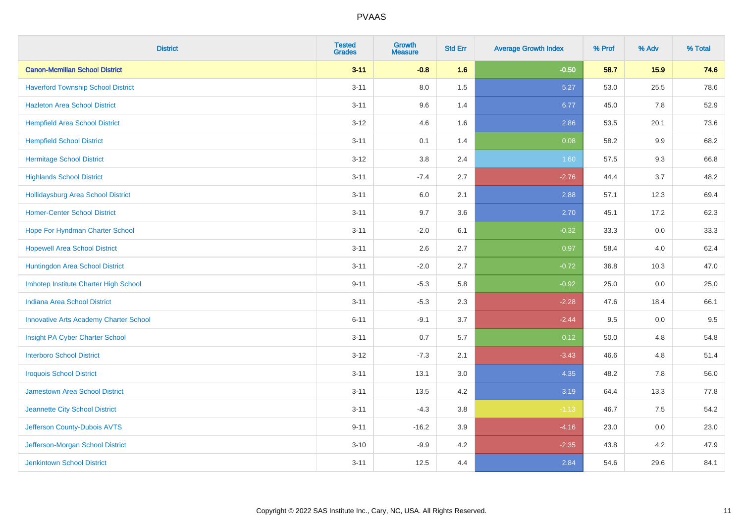| <b>District</b>                               | <b>Tested</b><br><b>Grades</b> | <b>Growth</b><br><b>Measure</b> | <b>Std Err</b> | <b>Average Growth Index</b> | % Prof | % Adv   | % Total |
|-----------------------------------------------|--------------------------------|---------------------------------|----------------|-----------------------------|--------|---------|---------|
| <b>Canon-Mcmillan School District</b>         | $3 - 11$                       | $-0.8$                          | 1.6            | $-0.50$                     | 58.7   | 15.9    | 74.6    |
| <b>Haverford Township School District</b>     | $3 - 11$                       | $8.0\,$                         | 1.5            | 5.27                        | 53.0   | 25.5    | 78.6    |
| <b>Hazleton Area School District</b>          | $3 - 11$                       | 9.6                             | 1.4            | 6.77                        | 45.0   | 7.8     | 52.9    |
| <b>Hempfield Area School District</b>         | $3 - 12$                       | 4.6                             | 1.6            | 2.86                        | 53.5   | 20.1    | 73.6    |
| <b>Hempfield School District</b>              | $3 - 11$                       | 0.1                             | 1.4            | 0.08                        | 58.2   | 9.9     | 68.2    |
| <b>Hermitage School District</b>              | $3 - 12$                       | 3.8                             | 2.4            | 1.60                        | 57.5   | 9.3     | 66.8    |
| <b>Highlands School District</b>              | $3 - 11$                       | $-7.4$                          | 2.7            | $-2.76$                     | 44.4   | 3.7     | 48.2    |
| Hollidaysburg Area School District            | $3 - 11$                       | 6.0                             | 2.1            | 2.88                        | 57.1   | 12.3    | 69.4    |
| <b>Homer-Center School District</b>           | $3 - 11$                       | 9.7                             | 3.6            | 2.70                        | 45.1   | 17.2    | 62.3    |
| Hope For Hyndman Charter School               | $3 - 11$                       | $-2.0$                          | 6.1            | $-0.32$                     | 33.3   | 0.0     | 33.3    |
| <b>Hopewell Area School District</b>          | $3 - 11$                       | 2.6                             | 2.7            | 0.97                        | 58.4   | 4.0     | 62.4    |
| Huntingdon Area School District               | $3 - 11$                       | $-2.0$                          | 2.7            | $-0.72$                     | 36.8   | 10.3    | 47.0    |
| Imhotep Institute Charter High School         | $9 - 11$                       | $-5.3$                          | 5.8            | $-0.92$                     | 25.0   | $0.0\,$ | 25.0    |
| Indiana Area School District                  | $3 - 11$                       | $-5.3$                          | 2.3            | $-2.28$                     | 47.6   | 18.4    | 66.1    |
| <b>Innovative Arts Academy Charter School</b> | $6 - 11$                       | $-9.1$                          | 3.7            | $-2.44$                     | 9.5    | $0.0\,$ | 9.5     |
| Insight PA Cyber Charter School               | $3 - 11$                       | 0.7                             | 5.7            | 0.12                        | 50.0   | 4.8     | 54.8    |
| <b>Interboro School District</b>              | $3 - 12$                       | $-7.3$                          | 2.1            | $-3.43$                     | 46.6   | 4.8     | 51.4    |
| <b>Iroquois School District</b>               | $3 - 11$                       | 13.1                            | 3.0            | 4.35                        | 48.2   | 7.8     | 56.0    |
| <b>Jamestown Area School District</b>         | $3 - 11$                       | 13.5                            | 4.2            | 3.19                        | 64.4   | 13.3    | 77.8    |
| Jeannette City School District                | $3 - 11$                       | $-4.3$                          | $3.8\,$        | $-1.13$                     | 46.7   | 7.5     | 54.2    |
| Jefferson County-Dubois AVTS                  | $9 - 11$                       | $-16.2$                         | 3.9            | $-4.16$                     | 23.0   | 0.0     | 23.0    |
| Jefferson-Morgan School District              | $3 - 10$                       | $-9.9$                          | 4.2            | $-2.35$                     | 43.8   | 4.2     | 47.9    |
| <b>Jenkintown School District</b>             | $3 - 11$                       | 12.5                            | 4.4            | 2.84                        | 54.6   | 29.6    | 84.1    |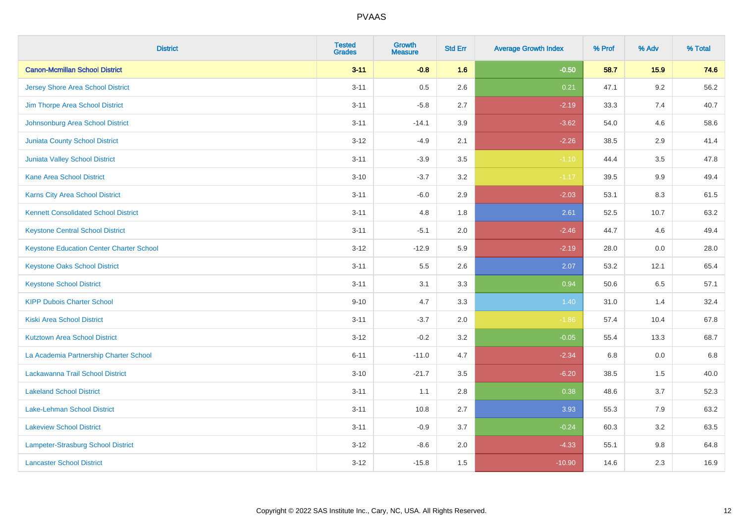| <b>District</b>                                 | <b>Tested</b><br><b>Grades</b> | <b>Growth</b><br><b>Measure</b> | <b>Std Err</b> | <b>Average Growth Index</b> | % Prof | % Adv   | % Total |
|-------------------------------------------------|--------------------------------|---------------------------------|----------------|-----------------------------|--------|---------|---------|
| <b>Canon-Mcmillan School District</b>           | $3 - 11$                       | $-0.8$                          | 1.6            | $-0.50$                     | 58.7   | 15.9    | 74.6    |
| <b>Jersey Shore Area School District</b>        | $3 - 11$                       | 0.5                             | 2.6            | 0.21                        | 47.1   | $9.2\,$ | 56.2    |
| Jim Thorpe Area School District                 | $3 - 11$                       | $-5.8$                          | 2.7            | $-2.19$                     | 33.3   | 7.4     | 40.7    |
| Johnsonburg Area School District                | $3 - 11$                       | $-14.1$                         | 3.9            | $-3.62$                     | 54.0   | 4.6     | 58.6    |
| Juniata County School District                  | $3 - 12$                       | $-4.9$                          | 2.1            | $-2.26$                     | 38.5   | 2.9     | 41.4    |
| <b>Juniata Valley School District</b>           | $3 - 11$                       | $-3.9$                          | 3.5            | $-1.10$                     | 44.4   | 3.5     | 47.8    |
| <b>Kane Area School District</b>                | $3 - 10$                       | $-3.7$                          | 3.2            | $-1.17$                     | 39.5   | 9.9     | 49.4    |
| <b>Karns City Area School District</b>          | $3 - 11$                       | $-6.0$                          | 2.9            | $-2.03$                     | 53.1   | 8.3     | 61.5    |
| <b>Kennett Consolidated School District</b>     | $3 - 11$                       | 4.8                             | 1.8            | 2.61                        | 52.5   | 10.7    | 63.2    |
| <b>Keystone Central School District</b>         | $3 - 11$                       | $-5.1$                          | 2.0            | $-2.46$                     | 44.7   | 4.6     | 49.4    |
| <b>Keystone Education Center Charter School</b> | $3 - 12$                       | $-12.9$                         | 5.9            | $-2.19$                     | 28.0   | 0.0     | 28.0    |
| <b>Keystone Oaks School District</b>            | $3 - 11$                       | 5.5                             | 2.6            | 2.07                        | 53.2   | 12.1    | 65.4    |
| <b>Keystone School District</b>                 | $3 - 11$                       | 3.1                             | 3.3            | 0.94                        | 50.6   | 6.5     | 57.1    |
| <b>KIPP Dubois Charter School</b>               | $9 - 10$                       | 4.7                             | 3.3            | 1.40                        | 31.0   | 1.4     | 32.4    |
| <b>Kiski Area School District</b>               | $3 - 11$                       | $-3.7$                          | 2.0            | $-1.86$                     | 57.4   | 10.4    | 67.8    |
| <b>Kutztown Area School District</b>            | $3 - 12$                       | $-0.2$                          | 3.2            | $-0.05$                     | 55.4   | 13.3    | 68.7    |
| La Academia Partnership Charter School          | $6 - 11$                       | $-11.0$                         | 4.7            | $-2.34$                     | 6.8    | 0.0     | 6.8     |
| Lackawanna Trail School District                | $3 - 10$                       | $-21.7$                         | 3.5            | $-6.20$                     | 38.5   | 1.5     | 40.0    |
| <b>Lakeland School District</b>                 | $3 - 11$                       | 1.1                             | $2.8\,$        | 0.38                        | 48.6   | 3.7     | 52.3    |
| Lake-Lehman School District                     | $3 - 11$                       | 10.8                            | 2.7            | 3.93                        | 55.3   | 7.9     | 63.2    |
| <b>Lakeview School District</b>                 | $3 - 11$                       | $-0.9$                          | 3.7            | $-0.24$                     | 60.3   | 3.2     | 63.5    |
| Lampeter-Strasburg School District              | $3 - 12$                       | $-8.6$                          | 2.0            | $-4.33$                     | 55.1   | $9.8\,$ | 64.8    |
| <b>Lancaster School District</b>                | $3 - 12$                       | $-15.8$                         | 1.5            | $-10.90$                    | 14.6   | 2.3     | 16.9    |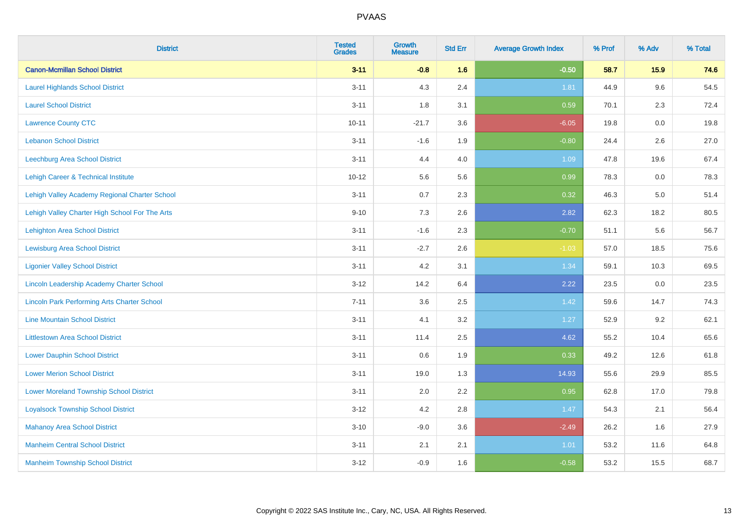| <b>District</b>                                    | <b>Tested</b><br><b>Grades</b> | Growth<br><b>Measure</b> | <b>Std Err</b> | <b>Average Growth Index</b> | % Prof | % Adv   | % Total |
|----------------------------------------------------|--------------------------------|--------------------------|----------------|-----------------------------|--------|---------|---------|
| <b>Canon-Mcmillan School District</b>              | $3 - 11$                       | $-0.8$                   | 1.6            | $-0.50$                     | 58.7   | 15.9    | 74.6    |
| <b>Laurel Highlands School District</b>            | $3 - 11$                       | 4.3                      | 2.4            | 1.81                        | 44.9   | 9.6     | 54.5    |
| <b>Laurel School District</b>                      | $3 - 11$                       | 1.8                      | 3.1            | 0.59                        | 70.1   | 2.3     | 72.4    |
| <b>Lawrence County CTC</b>                         | $10 - 11$                      | $-21.7$                  | 3.6            | $-6.05$                     | 19.8   | $0.0\,$ | 19.8    |
| <b>Lebanon School District</b>                     | $3 - 11$                       | $-1.6$                   | 1.9            | $-0.80$                     | 24.4   | 2.6     | 27.0    |
| <b>Leechburg Area School District</b>              | $3 - 11$                       | 4.4                      | 4.0            | 1.09                        | 47.8   | 19.6    | 67.4    |
| Lehigh Career & Technical Institute                | $10 - 12$                      | 5.6                      | 5.6            | 0.99                        | 78.3   | 0.0     | 78.3    |
| Lehigh Valley Academy Regional Charter School      | $3 - 11$                       | 0.7                      | 2.3            | 0.32                        | 46.3   | 5.0     | 51.4    |
| Lehigh Valley Charter High School For The Arts     | $9 - 10$                       | 7.3                      | 2.6            | 2.82                        | 62.3   | 18.2    | 80.5    |
| <b>Lehighton Area School District</b>              | $3 - 11$                       | $-1.6$                   | 2.3            | $-0.70$                     | 51.1   | 5.6     | 56.7    |
| <b>Lewisburg Area School District</b>              | $3 - 11$                       | $-2.7$                   | 2.6            | $-1.03$                     | 57.0   | 18.5    | 75.6    |
| <b>Ligonier Valley School District</b>             | $3 - 11$                       | 4.2                      | 3.1            | 1.34                        | 59.1   | 10.3    | 69.5    |
| Lincoln Leadership Academy Charter School          | $3 - 12$                       | 14.2                     | 6.4            | 2.22                        | 23.5   | 0.0     | 23.5    |
| <b>Lincoln Park Performing Arts Charter School</b> | $7 - 11$                       | 3.6                      | 2.5            | 1.42                        | 59.6   | 14.7    | 74.3    |
| <b>Line Mountain School District</b>               | $3 - 11$                       | 4.1                      | 3.2            | 1.27                        | 52.9   | 9.2     | 62.1    |
| <b>Littlestown Area School District</b>            | $3 - 11$                       | 11.4                     | 2.5            | 4.62                        | 55.2   | 10.4    | 65.6    |
| <b>Lower Dauphin School District</b>               | $3 - 11$                       | 0.6                      | 1.9            | 0.33                        | 49.2   | 12.6    | 61.8    |
| <b>Lower Merion School District</b>                | $3 - 11$                       | 19.0                     | 1.3            | 14.93                       | 55.6   | 29.9    | 85.5    |
| <b>Lower Moreland Township School District</b>     | $3 - 11$                       | 2.0                      | 2.2            | 0.95                        | 62.8   | 17.0    | 79.8    |
| <b>Loyalsock Township School District</b>          | $3 - 12$                       | 4.2                      | 2.8            | 1.47                        | 54.3   | 2.1     | 56.4    |
| <b>Mahanoy Area School District</b>                | $3 - 10$                       | $-9.0$                   | 3.6            | $-2.49$                     | 26.2   | 1.6     | 27.9    |
| <b>Manheim Central School District</b>             | $3 - 11$                       | 2.1                      | 2.1            | 1.01                        | 53.2   | 11.6    | 64.8    |
| <b>Manheim Township School District</b>            | $3 - 12$                       | $-0.9$                   | 1.6            | $-0.58$                     | 53.2   | 15.5    | 68.7    |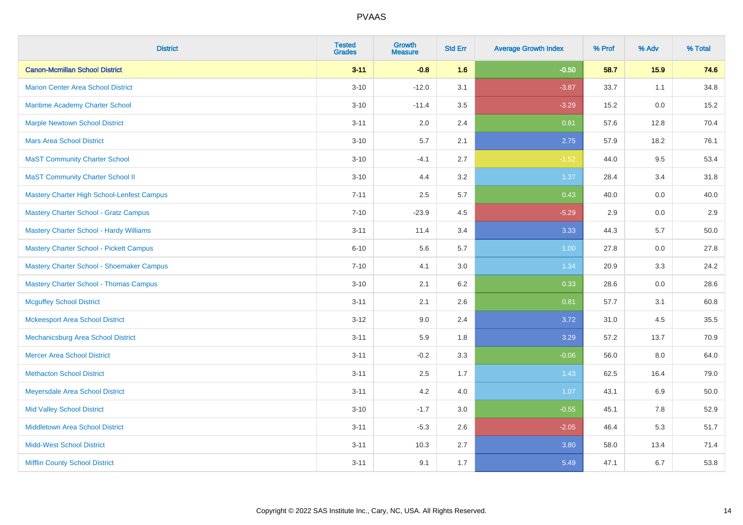| <b>District</b>                                | <b>Tested</b><br><b>Grades</b> | <b>Growth</b><br><b>Measure</b> | <b>Std Err</b> | <b>Average Growth Index</b> | % Prof | % Adv | % Total |
|------------------------------------------------|--------------------------------|---------------------------------|----------------|-----------------------------|--------|-------|---------|
| <b>Canon-Mcmillan School District</b>          | $3 - 11$                       | $-0.8$                          | 1.6            | $-0.50$                     | 58.7   | 15.9  | 74.6    |
| <b>Marion Center Area School District</b>      | $3 - 10$                       | $-12.0$                         | 3.1            | $-3.87$                     | 33.7   | 1.1   | 34.8    |
| Maritime Academy Charter School                | $3 - 10$                       | $-11.4$                         | 3.5            | $-3.29$                     | 15.2   | 0.0   | 15.2    |
| <b>Marple Newtown School District</b>          | $3 - 11$                       | 2.0                             | 2.4            | 0.81                        | 57.6   | 12.8  | 70.4    |
| <b>Mars Area School District</b>               | $3 - 10$                       | 5.7                             | 2.1            | 2.75                        | 57.9   | 18.2  | 76.1    |
| <b>MaST Community Charter School</b>           | $3 - 10$                       | $-4.1$                          | 2.7            | $-1.52$                     | 44.0   | 9.5   | 53.4    |
| <b>MaST Community Charter School II</b>        | $3 - 10$                       | 4.4                             | 3.2            | 1.37                        | 28.4   | 3.4   | 31.8    |
| Mastery Charter High School-Lenfest Campus     | $7 - 11$                       | 2.5                             | 5.7            | 0.43                        | 40.0   | 0.0   | 40.0    |
| <b>Mastery Charter School - Gratz Campus</b>   | $7 - 10$                       | $-23.9$                         | 4.5            | $-5.29$                     | 2.9    | 0.0   | 2.9     |
| <b>Mastery Charter School - Hardy Williams</b> | $3 - 11$                       | 11.4                            | 3.4            | 3.33                        | 44.3   | 5.7   | 50.0    |
| <b>Mastery Charter School - Pickett Campus</b> | $6 - 10$                       | 5.6                             | 5.7            | 1.00                        | 27.8   | 0.0   | 27.8    |
| Mastery Charter School - Shoemaker Campus      | $7 - 10$                       | 4.1                             | 3.0            | 1.34                        | 20.9   | 3.3   | 24.2    |
| <b>Mastery Charter School - Thomas Campus</b>  | $3 - 10$                       | 2.1                             | 6.2            | 0.33                        | 28.6   | 0.0   | 28.6    |
| <b>Mcguffey School District</b>                | $3 - 11$                       | 2.1                             | 2.6            | 0.81                        | 57.7   | 3.1   | 60.8    |
| <b>Mckeesport Area School District</b>         | $3 - 12$                       | 9.0                             | 2.4            | 3.72                        | 31.0   | 4.5   | 35.5    |
| Mechanicsburg Area School District             | $3 - 11$                       | 5.9                             | 1.8            | 3.29                        | 57.2   | 13.7  | 70.9    |
| <b>Mercer Area School District</b>             | $3 - 11$                       | $-0.2$                          | 3.3            | $-0.06$                     | 56.0   | 8.0   | 64.0    |
| <b>Methacton School District</b>               | $3 - 11$                       | 2.5                             | 1.7            | 1.43                        | 62.5   | 16.4  | 79.0    |
| Meyersdale Area School District                | $3 - 11$                       | 4.2                             | 4.0            | 1.07                        | 43.1   | 6.9   | 50.0    |
| <b>Mid Valley School District</b>              | $3 - 10$                       | $-1.7$                          | 3.0            | $-0.55$                     | 45.1   | 7.8   | 52.9    |
| <b>Middletown Area School District</b>         | $3 - 11$                       | $-5.3$                          | 2.6            | $-2.05$                     | 46.4   | 5.3   | 51.7    |
| <b>Midd-West School District</b>               | $3 - 11$                       | 10.3                            | 2.7            | 3.80                        | 58.0   | 13.4  | 71.4    |
| <b>Mifflin County School District</b>          | $3 - 11$                       | 9.1                             | 1.7            | 5.49                        | 47.1   | 6.7   | 53.8    |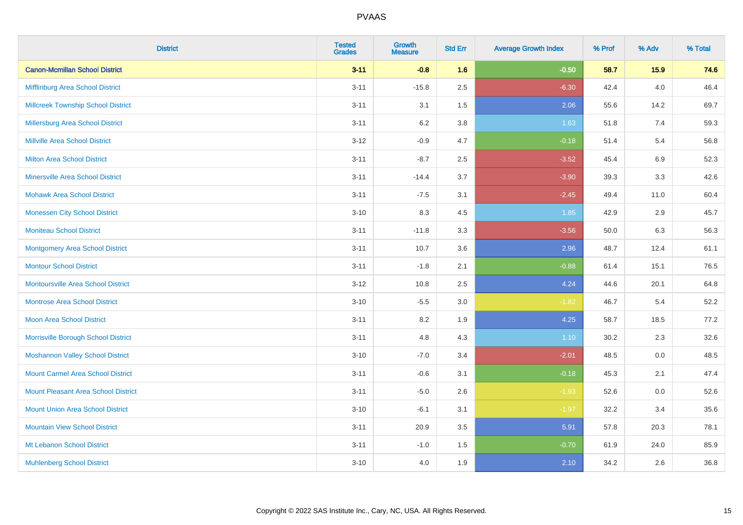| <b>District</b>                            | <b>Tested</b><br><b>Grades</b> | <b>Growth</b><br><b>Measure</b> | <b>Std Err</b> | <b>Average Growth Index</b> | % Prof | % Adv   | % Total |
|--------------------------------------------|--------------------------------|---------------------------------|----------------|-----------------------------|--------|---------|---------|
| <b>Canon-Mcmillan School District</b>      | $3 - 11$                       | $-0.8$                          | 1.6            | $-0.50$                     | 58.7   | 15.9    | 74.6    |
| Mifflinburg Area School District           | $3 - 11$                       | $-15.8$                         | 2.5            | $-6.30$                     | 42.4   | 4.0     | 46.4    |
| <b>Millcreek Township School District</b>  | $3 - 11$                       | 3.1                             | 1.5            | 2.06                        | 55.6   | 14.2    | 69.7    |
| <b>Millersburg Area School District</b>    | $3 - 11$                       | 6.2                             | 3.8            | 1.63                        | 51.8   | 7.4     | 59.3    |
| <b>Millville Area School District</b>      | $3-12$                         | $-0.9$                          | 4.7            | $-0.18$                     | 51.4   | 5.4     | 56.8    |
| <b>Milton Area School District</b>         | $3 - 11$                       | $-8.7$                          | 2.5            | $-3.52$                     | 45.4   | $6.9\,$ | 52.3    |
| <b>Minersville Area School District</b>    | $3 - 11$                       | $-14.4$                         | 3.7            | $-3.90$                     | 39.3   | 3.3     | 42.6    |
| <b>Mohawk Area School District</b>         | $3 - 11$                       | $-7.5$                          | 3.1            | $-2.45$                     | 49.4   | 11.0    | 60.4    |
| <b>Monessen City School District</b>       | $3 - 10$                       | 8.3                             | 4.5            | 1.85                        | 42.9   | 2.9     | 45.7    |
| <b>Moniteau School District</b>            | $3 - 11$                       | $-11.8$                         | 3.3            | $-3.56$                     | 50.0   | 6.3     | 56.3    |
| <b>Montgomery Area School District</b>     | $3 - 11$                       | 10.7                            | 3.6            | 2.96                        | 48.7   | 12.4    | 61.1    |
| <b>Montour School District</b>             | $3 - 11$                       | $-1.8$                          | 2.1            | $-0.88$                     | 61.4   | 15.1    | 76.5    |
| <b>Montoursville Area School District</b>  | $3-12$                         | 10.8                            | 2.5            | 4.24                        | 44.6   | 20.1    | 64.8    |
| <b>Montrose Area School District</b>       | $3 - 10$                       | $-5.5$                          | 3.0            | $-1.82$                     | 46.7   | 5.4     | 52.2    |
| Moon Area School District                  | $3 - 11$                       | 8.2                             | 1.9            | 4.25                        | 58.7   | 18.5    | 77.2    |
| Morrisville Borough School District        | $3 - 11$                       | 4.8                             | 4.3            | 1.10                        | 30.2   | 2.3     | 32.6    |
| <b>Moshannon Valley School District</b>    | $3 - 10$                       | $-7.0$                          | 3.4            | $-2.01$                     | 48.5   | 0.0     | 48.5    |
| <b>Mount Carmel Area School District</b>   | $3 - 11$                       | $-0.6$                          | 3.1            | $-0.18$                     | 45.3   | 2.1     | 47.4    |
| <b>Mount Pleasant Area School District</b> | $3 - 11$                       | $-5.0$                          | 2.6            | $-1.93$                     | 52.6   | 0.0     | 52.6    |
| <b>Mount Union Area School District</b>    | $3 - 10$                       | $-6.1$                          | 3.1            | $-1.97$                     | 32.2   | 3.4     | 35.6    |
| <b>Mountain View School District</b>       | $3 - 11$                       | 20.9                            | 3.5            | 5.91                        | 57.8   | 20.3    | 78.1    |
| Mt Lebanon School District                 | $3 - 11$                       | $-1.0$                          | 1.5            | $-0.70$                     | 61.9   | 24.0    | 85.9    |
| <b>Muhlenberg School District</b>          | $3 - 10$                       | 4.0                             | 1.9            | 2.10                        | 34.2   | 2.6     | 36.8    |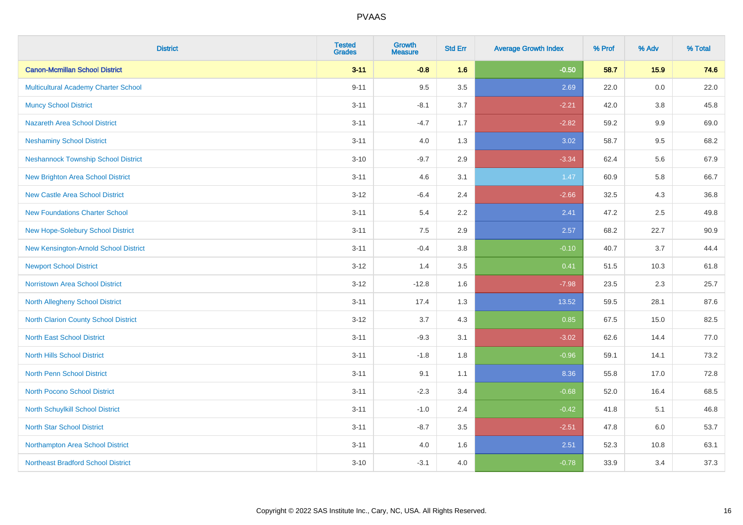| <b>District</b>                             | <b>Tested</b><br><b>Grades</b> | <b>Growth</b><br><b>Measure</b> | <b>Std Err</b> | <b>Average Growth Index</b> | % Prof | % Adv   | % Total |
|---------------------------------------------|--------------------------------|---------------------------------|----------------|-----------------------------|--------|---------|---------|
| <b>Canon-Mcmillan School District</b>       | $3 - 11$                       | $-0.8$                          | 1.6            | $-0.50$                     | 58.7   | 15.9    | 74.6    |
| Multicultural Academy Charter School        | $9 - 11$                       | 9.5                             | 3.5            | 2.69                        | 22.0   | 0.0     | 22.0    |
| <b>Muncy School District</b>                | $3 - 11$                       | $-8.1$                          | 3.7            | $-2.21$                     | 42.0   | 3.8     | 45.8    |
| <b>Nazareth Area School District</b>        | $3 - 11$                       | $-4.7$                          | 1.7            | $-2.82$                     | 59.2   | $9.9\,$ | 69.0    |
| <b>Neshaminy School District</b>            | $3 - 11$                       | 4.0                             | 1.3            | 3.02                        | 58.7   | 9.5     | 68.2    |
| <b>Neshannock Township School District</b>  | $3 - 10$                       | $-9.7$                          | 2.9            | $-3.34$                     | 62.4   | 5.6     | 67.9    |
| <b>New Brighton Area School District</b>    | $3 - 11$                       | 4.6                             | 3.1            | 1.47                        | 60.9   | 5.8     | 66.7    |
| <b>New Castle Area School District</b>      | $3 - 12$                       | $-6.4$                          | 2.4            | $-2.66$                     | 32.5   | 4.3     | 36.8    |
| <b>New Foundations Charter School</b>       | $3 - 11$                       | 5.4                             | 2.2            | 2.41                        | 47.2   | 2.5     | 49.8    |
| New Hope-Solebury School District           | $3 - 11$                       | 7.5                             | 2.9            | 2.57                        | 68.2   | 22.7    | 90.9    |
| New Kensington-Arnold School District       | $3 - 11$                       | $-0.4$                          | 3.8            | $-0.10$                     | 40.7   | 3.7     | 44.4    |
| <b>Newport School District</b>              | $3 - 12$                       | 1.4                             | 3.5            | 0.41                        | 51.5   | 10.3    | 61.8    |
| Norristown Area School District             | $3-12$                         | $-12.8$                         | 1.6            | $-7.98$                     | 23.5   | 2.3     | 25.7    |
| <b>North Allegheny School District</b>      | $3 - 11$                       | 17.4                            | 1.3            | 13.52                       | 59.5   | 28.1    | 87.6    |
| <b>North Clarion County School District</b> | $3 - 12$                       | 3.7                             | 4.3            | 0.85                        | 67.5   | 15.0    | 82.5    |
| <b>North East School District</b>           | $3 - 11$                       | $-9.3$                          | 3.1            | $-3.02$                     | 62.6   | 14.4    | 77.0    |
| <b>North Hills School District</b>          | $3 - 11$                       | $-1.8$                          | 1.8            | $-0.96$                     | 59.1   | 14.1    | 73.2    |
| <b>North Penn School District</b>           | $3 - 11$                       | 9.1                             | 1.1            | 8.36                        | 55.8   | 17.0    | 72.8    |
| North Pocono School District                | $3 - 11$                       | $-2.3$                          | 3.4            | $-0.68$                     | 52.0   | 16.4    | 68.5    |
| North Schuylkill School District            | $3 - 11$                       | $-1.0$                          | 2.4            | $-0.42$                     | 41.8   | 5.1     | 46.8    |
| <b>North Star School District</b>           | $3 - 11$                       | $-8.7$                          | 3.5            | $-2.51$                     | 47.8   | 6.0     | 53.7    |
| Northampton Area School District            | $3 - 11$                       | 4.0                             | 1.6            | 2.51                        | 52.3   | 10.8    | 63.1    |
| <b>Northeast Bradford School District</b>   | $3 - 10$                       | $-3.1$                          | 4.0            | $-0.78$                     | 33.9   | 3.4     | 37.3    |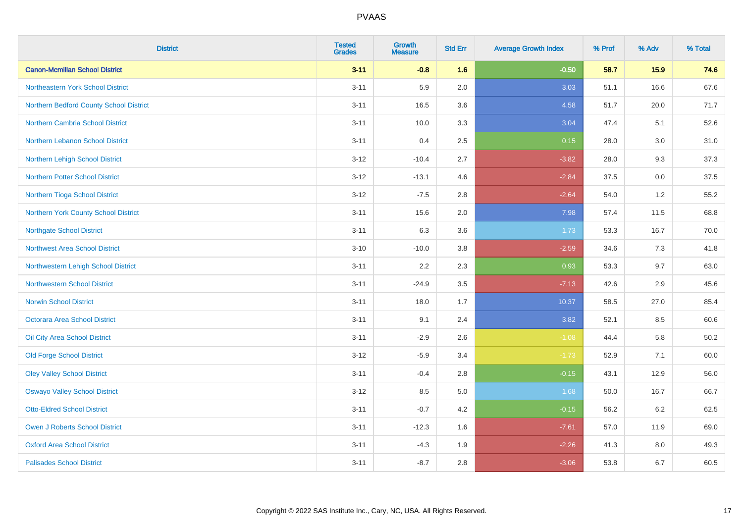| <b>District</b>                         | <b>Tested</b><br><b>Grades</b> | <b>Growth</b><br><b>Measure</b> | <b>Std Err</b> | <b>Average Growth Index</b> | % Prof | % Adv | % Total  |
|-----------------------------------------|--------------------------------|---------------------------------|----------------|-----------------------------|--------|-------|----------|
| <b>Canon-Mcmillan School District</b>   | $3 - 11$                       | $-0.8$                          | 1.6            | $-0.50$                     | 58.7   | 15.9  | 74.6     |
| Northeastern York School District       | $3 - 11$                       | 5.9                             | 2.0            | 3.03                        | 51.1   | 16.6  | 67.6     |
| Northern Bedford County School District | $3 - 11$                       | 16.5                            | 3.6            | 4.58                        | 51.7   | 20.0  | 71.7     |
| <b>Northern Cambria School District</b> | $3 - 11$                       | 10.0                            | 3.3            | 3.04                        | 47.4   | 5.1   | 52.6     |
| Northern Lebanon School District        | $3 - 11$                       | 0.4                             | 2.5            | 0.15                        | 28.0   | 3.0   | 31.0     |
| Northern Lehigh School District         | $3 - 12$                       | $-10.4$                         | 2.7            | $-3.82$                     | 28.0   | 9.3   | 37.3     |
| <b>Northern Potter School District</b>  | $3 - 12$                       | $-13.1$                         | 4.6            | $-2.84$                     | 37.5   | 0.0   | 37.5     |
| Northern Tioga School District          | $3 - 12$                       | $-7.5$                          | 2.8            | $-2.64$                     | 54.0   | 1.2   | 55.2     |
| Northern York County School District    | $3 - 11$                       | 15.6                            | 2.0            | 7.98                        | 57.4   | 11.5  | 68.8     |
| <b>Northgate School District</b>        | $3 - 11$                       | 6.3                             | 3.6            | 1.73                        | 53.3   | 16.7  | 70.0     |
| <b>Northwest Area School District</b>   | $3 - 10$                       | $-10.0$                         | $3.8\,$        | $-2.59$                     | 34.6   | 7.3   | 41.8     |
| Northwestern Lehigh School District     | $3 - 11$                       | 2.2                             | 2.3            | 0.93                        | 53.3   | 9.7   | 63.0     |
| <b>Northwestern School District</b>     | $3 - 11$                       | $-24.9$                         | 3.5            | $-7.13$                     | 42.6   | 2.9   | 45.6     |
| <b>Norwin School District</b>           | $3 - 11$                       | 18.0                            | 1.7            | 10.37                       | 58.5   | 27.0  | 85.4     |
| Octorara Area School District           | $3 - 11$                       | 9.1                             | 2.4            | 3.82                        | 52.1   | 8.5   | 60.6     |
| Oil City Area School District           | $3 - 11$                       | $-2.9$                          | 2.6            | $-1.08$                     | 44.4   | 5.8   | $50.2\,$ |
| <b>Old Forge School District</b>        | $3 - 12$                       | $-5.9$                          | 3.4            | $-1.73$                     | 52.9   | 7.1   | 60.0     |
| <b>Oley Valley School District</b>      | $3 - 11$                       | $-0.4$                          | 2.8            | $-0.15$                     | 43.1   | 12.9  | 56.0     |
| <b>Oswayo Valley School District</b>    | $3 - 12$                       | 8.5                             | $5.0\,$        | 1.68                        | 50.0   | 16.7  | 66.7     |
| <b>Otto-Eldred School District</b>      | $3 - 11$                       | $-0.7$                          | 4.2            | $-0.15$                     | 56.2   | 6.2   | 62.5     |
| <b>Owen J Roberts School District</b>   | $3 - 11$                       | $-12.3$                         | 1.6            | $-7.61$                     | 57.0   | 11.9  | 69.0     |
| <b>Oxford Area School District</b>      | $3 - 11$                       | $-4.3$                          | 1.9            | $-2.26$                     | 41.3   | 8.0   | 49.3     |
| <b>Palisades School District</b>        | $3 - 11$                       | $-8.7$                          | 2.8            | $-3.06$                     | 53.8   | 6.7   | 60.5     |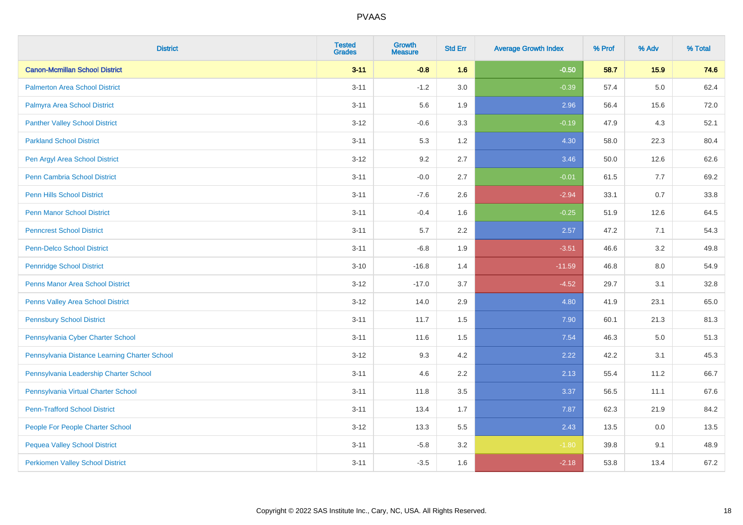| <b>District</b>                               | <b>Tested</b><br><b>Grades</b> | <b>Growth</b><br><b>Measure</b> | <b>Std Err</b> | <b>Average Growth Index</b> | % Prof | % Adv   | % Total |
|-----------------------------------------------|--------------------------------|---------------------------------|----------------|-----------------------------|--------|---------|---------|
| <b>Canon-Mcmillan School District</b>         | $3 - 11$                       | $-0.8$                          | 1.6            | $-0.50$                     | 58.7   | 15.9    | 74.6    |
| <b>Palmerton Area School District</b>         | $3 - 11$                       | $-1.2$                          | 3.0            | $-0.39$                     | 57.4   | $5.0\,$ | 62.4    |
| Palmyra Area School District                  | $3 - 11$                       | 5.6                             | 1.9            | 2.96                        | 56.4   | 15.6    | 72.0    |
| <b>Panther Valley School District</b>         | $3 - 12$                       | $-0.6$                          | 3.3            | $-0.19$                     | 47.9   | 4.3     | 52.1    |
| <b>Parkland School District</b>               | $3 - 11$                       | 5.3                             | 1.2            | 4.30                        | 58.0   | 22.3    | 80.4    |
| Pen Argyl Area School District                | $3 - 12$                       | 9.2                             | 2.7            | 3.46                        | 50.0   | 12.6    | 62.6    |
| <b>Penn Cambria School District</b>           | $3 - 11$                       | $-0.0$                          | 2.7            | $-0.01$                     | 61.5   | 7.7     | 69.2    |
| <b>Penn Hills School District</b>             | $3 - 11$                       | $-7.6$                          | 2.6            | $-2.94$                     | 33.1   | 0.7     | 33.8    |
| <b>Penn Manor School District</b>             | $3 - 11$                       | $-0.4$                          | 1.6            | $-0.25$                     | 51.9   | 12.6    | 64.5    |
| <b>Penncrest School District</b>              | $3 - 11$                       | $5.7\,$                         | 2.2            | 2.57                        | 47.2   | 7.1     | 54.3    |
| <b>Penn-Delco School District</b>             | $3 - 11$                       | $-6.8$                          | 1.9            | $-3.51$                     | 46.6   | 3.2     | 49.8    |
| <b>Pennridge School District</b>              | $3 - 10$                       | $-16.8$                         | 1.4            | $-11.59$                    | 46.8   | 8.0     | 54.9    |
| Penns Manor Area School District              | $3 - 12$                       | $-17.0$                         | 3.7            | $-4.52$                     | 29.7   | 3.1     | 32.8    |
| Penns Valley Area School District             | $3 - 12$                       | 14.0                            | 2.9            | 4.80                        | 41.9   | 23.1    | 65.0    |
| <b>Pennsbury School District</b>              | $3 - 11$                       | 11.7                            | 1.5            | 7.90                        | 60.1   | 21.3    | 81.3    |
| Pennsylvania Cyber Charter School             | $3 - 11$                       | 11.6                            | 1.5            | 7.54                        | 46.3   | $5.0\,$ | 51.3    |
| Pennsylvania Distance Learning Charter School | $3 - 12$                       | 9.3                             | 4.2            | 2.22                        | 42.2   | 3.1     | 45.3    |
| Pennsylvania Leadership Charter School        | $3 - 11$                       | 4.6                             | 2.2            | 2.13                        | 55.4   | 11.2    | 66.7    |
| Pennsylvania Virtual Charter School           | $3 - 11$                       | 11.8                            | 3.5            | 3.37                        | 56.5   | 11.1    | 67.6    |
| <b>Penn-Trafford School District</b>          | $3 - 11$                       | 13.4                            | 1.7            | 7.87                        | 62.3   | 21.9    | 84.2    |
| People For People Charter School              | $3 - 12$                       | 13.3                            | 5.5            | 2.43                        | 13.5   | 0.0     | 13.5    |
| <b>Pequea Valley School District</b>          | $3 - 11$                       | $-5.8$                          | 3.2            | $-1.80$                     | 39.8   | 9.1     | 48.9    |
| <b>Perkiomen Valley School District</b>       | $3 - 11$                       | $-3.5$                          | 1.6            | $-2.18$                     | 53.8   | 13.4    | 67.2    |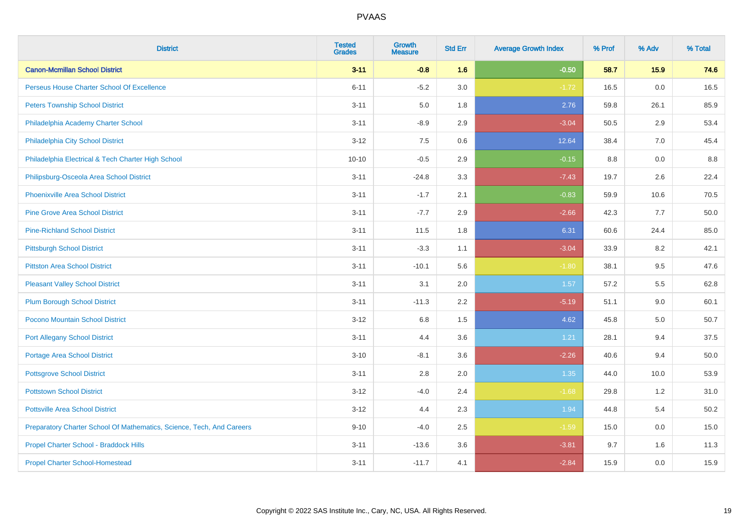| <b>District</b>                                                       | <b>Tested</b><br><b>Grades</b> | <b>Growth</b><br><b>Measure</b> | <b>Std Err</b> | <b>Average Growth Index</b> | % Prof | % Adv | % Total |
|-----------------------------------------------------------------------|--------------------------------|---------------------------------|----------------|-----------------------------|--------|-------|---------|
| <b>Canon-Mcmillan School District</b>                                 | $3 - 11$                       | $-0.8$                          | 1.6            | $-0.50$                     | 58.7   | 15.9  | 74.6    |
| Perseus House Charter School Of Excellence                            | $6 - 11$                       | $-5.2$                          | 3.0            | $-1.72$                     | 16.5   | 0.0   | 16.5    |
| <b>Peters Township School District</b>                                | $3 - 11$                       | 5.0                             | 1.8            | 2.76                        | 59.8   | 26.1  | 85.9    |
| Philadelphia Academy Charter School                                   | $3 - 11$                       | $-8.9$                          | 2.9            | $-3.04$                     | 50.5   | 2.9   | 53.4    |
| Philadelphia City School District                                     | $3 - 12$                       | 7.5                             | 0.6            | 12.64                       | 38.4   | 7.0   | 45.4    |
| Philadelphia Electrical & Tech Charter High School                    | $10 - 10$                      | $-0.5$                          | 2.9            | $-0.15$                     | 8.8    | 0.0   | 8.8     |
| Philipsburg-Osceola Area School District                              | $3 - 11$                       | $-24.8$                         | 3.3            | $-7.43$                     | 19.7   | 2.6   | 22.4    |
| <b>Phoenixville Area School District</b>                              | $3 - 11$                       | $-1.7$                          | 2.1            | $-0.83$                     | 59.9   | 10.6  | 70.5    |
| <b>Pine Grove Area School District</b>                                | $3 - 11$                       | $-7.7$                          | 2.9            | $-2.66$                     | 42.3   | 7.7   | 50.0    |
| <b>Pine-Richland School District</b>                                  | $3 - 11$                       | 11.5                            | 1.8            | 6.31                        | 60.6   | 24.4  | 85.0    |
| <b>Pittsburgh School District</b>                                     | $3 - 11$                       | $-3.3$                          | 1.1            | $-3.04$                     | 33.9   | 8.2   | 42.1    |
| <b>Pittston Area School District</b>                                  | $3 - 11$                       | $-10.1$                         | 5.6            | $-1.80$                     | 38.1   | 9.5   | 47.6    |
| <b>Pleasant Valley School District</b>                                | $3 - 11$                       | 3.1                             | 2.0            | 1.57                        | 57.2   | 5.5   | 62.8    |
| <b>Plum Borough School District</b>                                   | $3 - 11$                       | $-11.3$                         | 2.2            | $-5.19$                     | 51.1   | 9.0   | 60.1    |
| Pocono Mountain School District                                       | $3 - 12$                       | 6.8                             | 1.5            | 4.62                        | 45.8   | 5.0   | 50.7    |
| <b>Port Allegany School District</b>                                  | $3 - 11$                       | 4.4                             | 3.6            | 1.21                        | 28.1   | 9.4   | 37.5    |
| <b>Portage Area School District</b>                                   | $3 - 10$                       | $-8.1$                          | 3.6            | $-2.26$                     | 40.6   | 9.4   | 50.0    |
| <b>Pottsgrove School District</b>                                     | $3 - 11$                       | 2.8                             | 2.0            | 1.35                        | 44.0   | 10.0  | 53.9    |
| <b>Pottstown School District</b>                                      | $3 - 12$                       | $-4.0$                          | 2.4            | $-1.68$                     | 29.8   | 1.2   | 31.0    |
| <b>Pottsville Area School District</b>                                | $3 - 12$                       | 4.4                             | 2.3            | 1.94                        | 44.8   | 5.4   | 50.2    |
| Preparatory Charter School Of Mathematics, Science, Tech, And Careers | $9 - 10$                       | $-4.0$                          | 2.5            | $-1.59$                     | 15.0   | 0.0   | 15.0    |
| Propel Charter School - Braddock Hills                                | $3 - 11$                       | $-13.6$                         | 3.6            | $-3.81$                     | 9.7    | 1.6   | 11.3    |
| <b>Propel Charter School-Homestead</b>                                | $3 - 11$                       | $-11.7$                         | 4.1            | $-2.84$                     | 15.9   | 0.0   | 15.9    |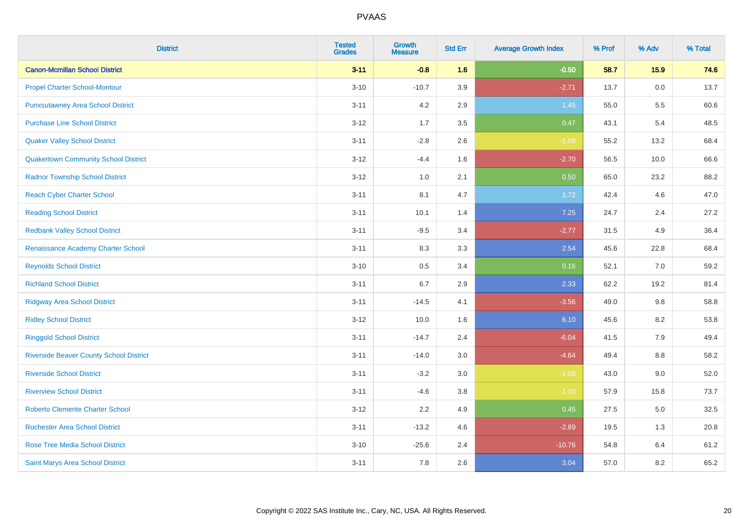| <b>District</b>                                | <b>Tested</b><br><b>Grades</b> | <b>Growth</b><br><b>Measure</b> | <b>Std Err</b> | <b>Average Growth Index</b> | % Prof | % Adv | % Total |
|------------------------------------------------|--------------------------------|---------------------------------|----------------|-----------------------------|--------|-------|---------|
| <b>Canon-Mcmillan School District</b>          | $3 - 11$                       | $-0.8$                          | 1.6            | $-0.50$                     | 58.7   | 15.9  | 74.6    |
| <b>Propel Charter School-Montour</b>           | $3 - 10$                       | $-10.7$                         | 3.9            | $-2.71$                     | 13.7   | 0.0   | 13.7    |
| <b>Punxsutawney Area School District</b>       | $3 - 11$                       | 4.2                             | 2.9            | 1.45                        | 55.0   | 5.5   | 60.6    |
| <b>Purchase Line School District</b>           | $3-12$                         | 1.7                             | 3.5            | 0.47                        | 43.1   | 5.4   | 48.5    |
| <b>Quaker Valley School District</b>           | $3 - 11$                       | $-2.8$                          | 2.6            | $-1.08$                     | 55.2   | 13.2  | 68.4    |
| <b>Quakertown Community School District</b>    | $3 - 12$                       | $-4.4$                          | 1.6            | $-2.70$                     | 56.5   | 10.0  | 66.6    |
| <b>Radnor Township School District</b>         | $3 - 12$                       | 1.0                             | 2.1            | 0.50                        | 65.0   | 23.2  | 88.2    |
| <b>Reach Cyber Charter School</b>              | $3 - 11$                       | 8.1                             | 4.7            | 1.72                        | 42.4   | 4.6   | 47.0    |
| <b>Reading School District</b>                 | $3 - 11$                       | 10.1                            | 1.4            | 7.25                        | 24.7   | 2.4   | 27.2    |
| <b>Redbank Valley School District</b>          | $3 - 11$                       | $-9.5$                          | 3.4            | $-2.77$                     | 31.5   | 4.9   | 36.4    |
| Renaissance Academy Charter School             | $3 - 11$                       | 8.3                             | 3.3            | 2.54                        | 45.6   | 22.8  | 68.4    |
| <b>Reynolds School District</b>                | $3 - 10$                       | 0.5                             | 3.4            | 0.16                        | 52.1   | 7.0   | 59.2    |
| <b>Richland School District</b>                | $3 - 11$                       | 6.7                             | 2.9            | 2.33                        | 62.2   | 19.2  | 81.4    |
| <b>Ridgway Area School District</b>            | $3 - 11$                       | $-14.5$                         | 4.1            | $-3.56$                     | 49.0   | 9.8   | 58.8    |
| <b>Ridley School District</b>                  | $3 - 12$                       | 10.0                            | 1.6            | 6.10                        | 45.6   | 8.2   | 53.8    |
| <b>Ringgold School District</b>                | $3 - 11$                       | $-14.7$                         | 2.4            | $-6.04$                     | 41.5   | 7.9   | 49.4    |
| <b>Riverside Beaver County School District</b> | $3 - 11$                       | $-14.0$                         | 3.0            | $-4.64$                     | 49.4   | 8.8   | 58.2    |
| <b>Riverside School District</b>               | $3 - 11$                       | $-3.2$                          | 3.0            | $-1.09$                     | 43.0   | 9.0   | 52.0    |
| <b>Riverview School District</b>               | $3 - 11$                       | $-4.6$                          | 3.8            | $-1.20$                     | 57.9   | 15.8  | 73.7    |
| <b>Roberto Clemente Charter School</b>         | $3 - 12$                       | 2.2                             | 4.9            | 0.45                        | 27.5   | 5.0   | 32.5    |
| <b>Rochester Area School District</b>          | $3 - 11$                       | $-13.2$                         | 4.6            | $-2.89$                     | 19.5   | 1.3   | 20.8    |
| <b>Rose Tree Media School District</b>         | $3 - 10$                       | $-25.6$                         | 2.4            | $-10.76$                    | 54.8   | 6.4   | 61.2    |
| Saint Marys Area School District               | $3 - 11$                       | 7.8                             | 2.6            | 3.04                        | 57.0   | 8.2   | 65.2    |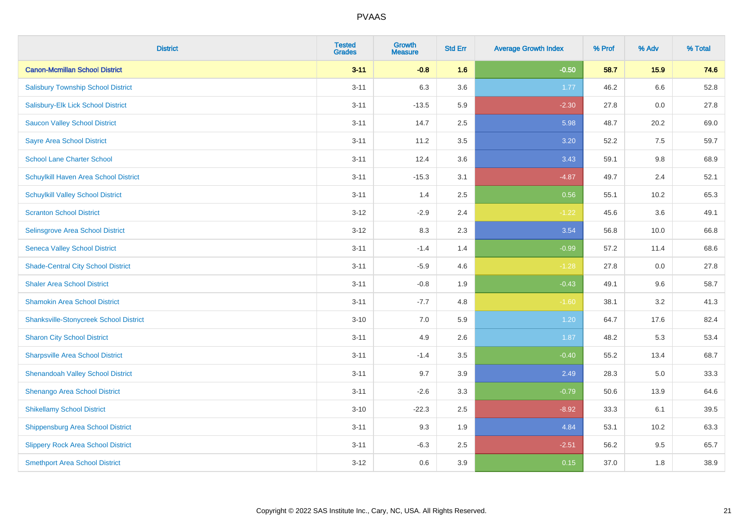| <b>District</b>                               | <b>Tested</b><br><b>Grades</b> | <b>Growth</b><br><b>Measure</b> | <b>Std Err</b> | <b>Average Growth Index</b> | % Prof | % Adv | % Total |
|-----------------------------------------------|--------------------------------|---------------------------------|----------------|-----------------------------|--------|-------|---------|
| <b>Canon-Mcmillan School District</b>         | $3 - 11$                       | $-0.8$                          | 1.6            | $-0.50$                     | 58.7   | 15.9  | 74.6    |
| <b>Salisbury Township School District</b>     | $3 - 11$                       | 6.3                             | 3.6            | 1.77                        | 46.2   | 6.6   | 52.8    |
| Salisbury-Elk Lick School District            | $3 - 11$                       | $-13.5$                         | 5.9            | $-2.30$                     | 27.8   | 0.0   | 27.8    |
| <b>Saucon Valley School District</b>          | $3 - 11$                       | 14.7                            | 2.5            | 5.98                        | 48.7   | 20.2  | 69.0    |
| <b>Sayre Area School District</b>             | $3 - 11$                       | 11.2                            | 3.5            | 3.20                        | 52.2   | 7.5   | 59.7    |
| <b>School Lane Charter School</b>             | $3 - 11$                       | 12.4                            | 3.6            | 3.43                        | 59.1   | 9.8   | 68.9    |
| Schuylkill Haven Area School District         | $3 - 11$                       | $-15.3$                         | 3.1            | $-4.87$                     | 49.7   | 2.4   | 52.1    |
| <b>Schuylkill Valley School District</b>      | $3 - 11$                       | 1.4                             | 2.5            | 0.56                        | 55.1   | 10.2  | 65.3    |
| <b>Scranton School District</b>               | $3 - 12$                       | $-2.9$                          | 2.4            | $-1.22$                     | 45.6   | 3.6   | 49.1    |
| Selinsgrove Area School District              | $3 - 12$                       | 8.3                             | 2.3            | 3.54                        | 56.8   | 10.0  | 66.8    |
| <b>Seneca Valley School District</b>          | $3 - 11$                       | $-1.4$                          | 1.4            | $-0.99$                     | 57.2   | 11.4  | 68.6    |
| <b>Shade-Central City School District</b>     | $3 - 11$                       | $-5.9$                          | 4.6            | $-1.28$                     | 27.8   | 0.0   | 27.8    |
| <b>Shaler Area School District</b>            | $3 - 11$                       | $-0.8$                          | 1.9            | $-0.43$                     | 49.1   | 9.6   | 58.7    |
| <b>Shamokin Area School District</b>          | $3 - 11$                       | $-7.7$                          | 4.8            | $-1.60$                     | 38.1   | 3.2   | 41.3    |
| <b>Shanksville-Stonycreek School District</b> | $3 - 10$                       | $7.0\,$                         | 5.9            | 1.20                        | 64.7   | 17.6  | 82.4    |
| <b>Sharon City School District</b>            | $3 - 11$                       | 4.9                             | 2.6            | 1.87                        | 48.2   | 5.3   | 53.4    |
| <b>Sharpsville Area School District</b>       | $3 - 11$                       | $-1.4$                          | 3.5            | $-0.40$                     | 55.2   | 13.4  | 68.7    |
| <b>Shenandoah Valley School District</b>      | $3 - 11$                       | 9.7                             | 3.9            | 2.49                        | 28.3   | 5.0   | 33.3    |
| Shenango Area School District                 | $3 - 11$                       | $-2.6$                          | 3.3            | $-0.79$                     | 50.6   | 13.9  | 64.6    |
| <b>Shikellamy School District</b>             | $3 - 10$                       | $-22.3$                         | 2.5            | $-8.92$                     | 33.3   | 6.1   | 39.5    |
| Shippensburg Area School District             | $3 - 11$                       | 9.3                             | 1.9            | 4.84                        | 53.1   | 10.2  | 63.3    |
| <b>Slippery Rock Area School District</b>     | $3 - 11$                       | $-6.3$                          | 2.5            | $-2.51$                     | 56.2   | 9.5   | 65.7    |
| <b>Smethport Area School District</b>         | $3-12$                         | 0.6                             | 3.9            | 0.15                        | 37.0   | 1.8   | 38.9    |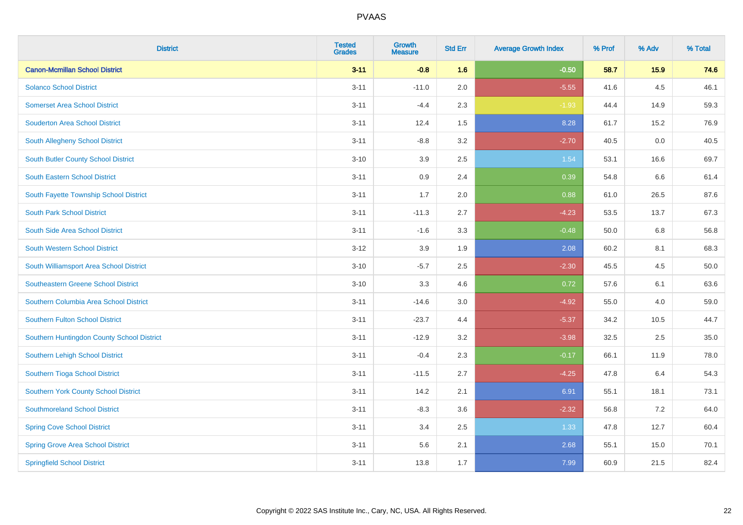| <b>District</b>                            | <b>Tested</b><br><b>Grades</b> | <b>Growth</b><br><b>Measure</b> | <b>Std Err</b> | <b>Average Growth Index</b> | % Prof | % Adv | % Total |
|--------------------------------------------|--------------------------------|---------------------------------|----------------|-----------------------------|--------|-------|---------|
| <b>Canon-Mcmillan School District</b>      | $3 - 11$                       | $-0.8$                          | 1.6            | $-0.50$                     | 58.7   | 15.9  | 74.6    |
| <b>Solanco School District</b>             | $3 - 11$                       | $-11.0$                         | 2.0            | $-5.55$                     | 41.6   | 4.5   | 46.1    |
| <b>Somerset Area School District</b>       | $3 - 11$                       | $-4.4$                          | 2.3            | $-1.93$                     | 44.4   | 14.9  | 59.3    |
| <b>Souderton Area School District</b>      | $3 - 11$                       | 12.4                            | 1.5            | 8.28                        | 61.7   | 15.2  | 76.9    |
| South Allegheny School District            | $3 - 11$                       | $-8.8$                          | 3.2            | $-2.70$                     | 40.5   | 0.0   | 40.5    |
| South Butler County School District        | $3 - 10$                       | 3.9                             | 2.5            | 1.54                        | 53.1   | 16.6  | 69.7    |
| <b>South Eastern School District</b>       | $3 - 11$                       | 0.9                             | 2.4            | 0.39                        | 54.8   | 6.6   | 61.4    |
| South Fayette Township School District     | $3 - 11$                       | 1.7                             | 2.0            | 0.88                        | 61.0   | 26.5  | 87.6    |
| <b>South Park School District</b>          | $3 - 11$                       | $-11.3$                         | 2.7            | $-4.23$                     | 53.5   | 13.7  | 67.3    |
| South Side Area School District            | $3 - 11$                       | $-1.6$                          | 3.3            | $-0.48$                     | 50.0   | 6.8   | 56.8    |
| South Western School District              | $3 - 12$                       | 3.9                             | 1.9            | 2.08                        | 60.2   | 8.1   | 68.3    |
| South Williamsport Area School District    | $3 - 10$                       | $-5.7$                          | 2.5            | $-2.30$                     | 45.5   | 4.5   | 50.0    |
| Southeastern Greene School District        | $3 - 10$                       | 3.3                             | 4.6            | 0.72                        | 57.6   | 6.1   | 63.6    |
| Southern Columbia Area School District     | $3 - 11$                       | $-14.6$                         | 3.0            | $-4.92$                     | 55.0   | 4.0   | 59.0    |
| Southern Fulton School District            | $3 - 11$                       | $-23.7$                         | 4.4            | $-5.37$                     | 34.2   | 10.5  | 44.7    |
| Southern Huntingdon County School District | $3 - 11$                       | $-12.9$                         | 3.2            | $-3.98$                     | 32.5   | 2.5   | 35.0    |
| Southern Lehigh School District            | $3 - 11$                       | $-0.4$                          | 2.3            | $-0.17$                     | 66.1   | 11.9  | 78.0    |
| Southern Tioga School District             | $3 - 11$                       | $-11.5$                         | 2.7            | $-4.25$                     | 47.8   | 6.4   | 54.3    |
| Southern York County School District       | $3 - 11$                       | 14.2                            | 2.1            | 6.91                        | 55.1   | 18.1  | 73.1    |
| <b>Southmoreland School District</b>       | $3 - 11$                       | $-8.3$                          | 3.6            | $-2.32$                     | 56.8   | 7.2   | 64.0    |
| <b>Spring Cove School District</b>         | $3 - 11$                       | 3.4                             | 2.5            | 1.33                        | 47.8   | 12.7  | 60.4    |
| <b>Spring Grove Area School District</b>   | $3 - 11$                       | 5.6                             | 2.1            | 2.68                        | 55.1   | 15.0  | 70.1    |
| <b>Springfield School District</b>         | $3 - 11$                       | 13.8                            | 1.7            | 7.99                        | 60.9   | 21.5  | 82.4    |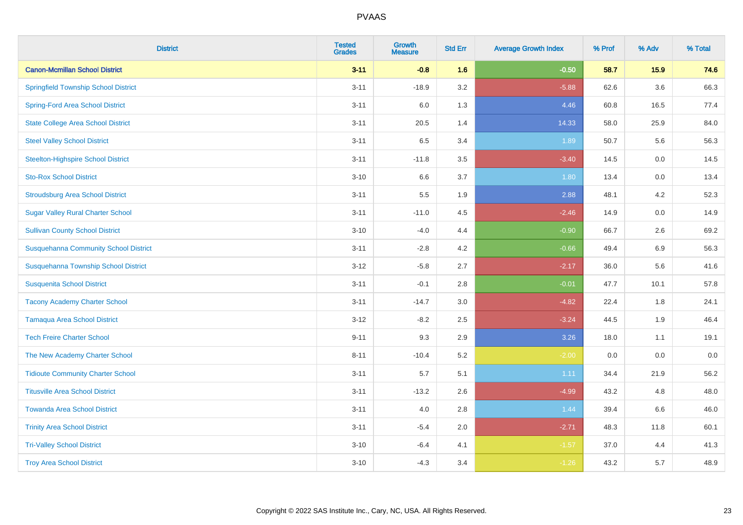| <b>District</b>                              | <b>Tested</b><br><b>Grades</b> | <b>Growth</b><br><b>Measure</b> | <b>Std Err</b> | <b>Average Growth Index</b> | % Prof | % Adv   | % Total |
|----------------------------------------------|--------------------------------|---------------------------------|----------------|-----------------------------|--------|---------|---------|
| <b>Canon-Mcmillan School District</b>        | $3 - 11$                       | $-0.8$                          | 1.6            | $-0.50$                     | 58.7   | 15.9    | 74.6    |
| <b>Springfield Township School District</b>  | $3 - 11$                       | $-18.9$                         | 3.2            | $-5.88$                     | 62.6   | $3.6\,$ | 66.3    |
| <b>Spring-Ford Area School District</b>      | $3 - 11$                       | 6.0                             | 1.3            | 4.46                        | 60.8   | 16.5    | 77.4    |
| <b>State College Area School District</b>    | $3 - 11$                       | 20.5                            | 1.4            | 14.33                       | 58.0   | 25.9    | 84.0    |
| <b>Steel Valley School District</b>          | $3 - 11$                       | 6.5                             | 3.4            | 1.89                        | 50.7   | 5.6     | 56.3    |
| <b>Steelton-Highspire School District</b>    | $3 - 11$                       | $-11.8$                         | 3.5            | $-3.40$                     | 14.5   | 0.0     | 14.5    |
| <b>Sto-Rox School District</b>               | $3 - 10$                       | 6.6                             | 3.7            | 1.80                        | 13.4   | 0.0     | 13.4    |
| <b>Stroudsburg Area School District</b>      | $3 - 11$                       | 5.5                             | 1.9            | 2.88                        | 48.1   | 4.2     | 52.3    |
| <b>Sugar Valley Rural Charter School</b>     | $3 - 11$                       | $-11.0$                         | 4.5            | $-2.46$                     | 14.9   | 0.0     | 14.9    |
| <b>Sullivan County School District</b>       | $3 - 10$                       | $-4.0$                          | 4.4            | $-0.90$                     | 66.7   | $2.6\,$ | 69.2    |
| <b>Susquehanna Community School District</b> | $3 - 11$                       | $-2.8$                          | 4.2            | $-0.66$                     | 49.4   | 6.9     | 56.3    |
| Susquehanna Township School District         | $3 - 12$                       | $-5.8$                          | 2.7            | $-2.17$                     | 36.0   | 5.6     | 41.6    |
| <b>Susquenita School District</b>            | $3 - 11$                       | $-0.1$                          | 2.8            | $-0.01$                     | 47.7   | 10.1    | 57.8    |
| <b>Tacony Academy Charter School</b>         | $3 - 11$                       | $-14.7$                         | 3.0            | $-4.82$                     | 22.4   | 1.8     | 24.1    |
| <b>Tamaqua Area School District</b>          | $3 - 12$                       | $-8.2$                          | 2.5            | $-3.24$                     | 44.5   | 1.9     | 46.4    |
| <b>Tech Freire Charter School</b>            | $9 - 11$                       | 9.3                             | 2.9            | 3.26                        | 18.0   | 1.1     | 19.1    |
| The New Academy Charter School               | $8 - 11$                       | $-10.4$                         | 5.2            | $-2.00$                     | 0.0    | 0.0     | $0.0\,$ |
| <b>Tidioute Community Charter School</b>     | $3 - 11$                       | 5.7                             | 5.1            | 1.11                        | 34.4   | 21.9    | 56.2    |
| <b>Titusville Area School District</b>       | $3 - 11$                       | $-13.2$                         | 2.6            | $-4.99$                     | 43.2   | 4.8     | 48.0    |
| <b>Towanda Area School District</b>          | $3 - 11$                       | 4.0                             | 2.8            | 1.44                        | 39.4   | 6.6     | 46.0    |
| <b>Trinity Area School District</b>          | $3 - 11$                       | $-5.4$                          | 2.0            | $-2.71$                     | 48.3   | 11.8    | 60.1    |
| <b>Tri-Valley School District</b>            | $3 - 10$                       | $-6.4$                          | 4.1            | $-1.57$                     | 37.0   | 4.4     | 41.3    |
| <b>Troy Area School District</b>             | $3 - 10$                       | $-4.3$                          | 3.4            | $-1.26$                     | 43.2   | 5.7     | 48.9    |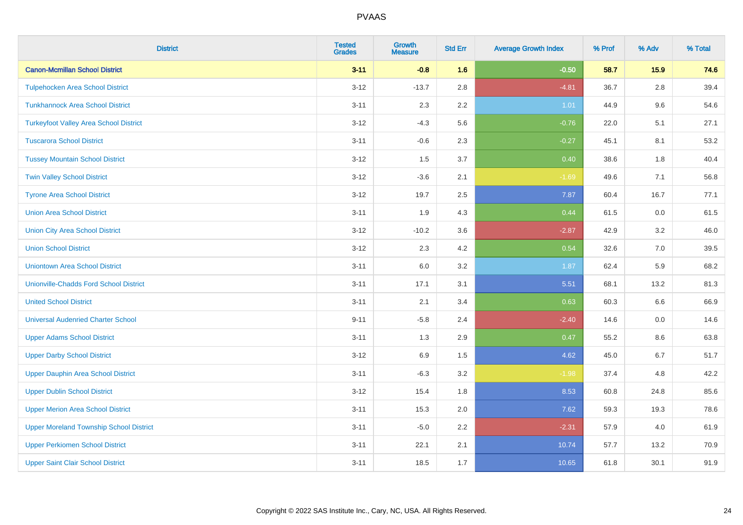| <b>District</b>                                | <b>Tested</b><br><b>Grades</b> | <b>Growth</b><br><b>Measure</b> | <b>Std Err</b> | <b>Average Growth Index</b> | % Prof | % Adv   | % Total |
|------------------------------------------------|--------------------------------|---------------------------------|----------------|-----------------------------|--------|---------|---------|
| <b>Canon-Mcmillan School District</b>          | $3 - 11$                       | $-0.8$                          | 1.6            | $-0.50$                     | 58.7   | 15.9    | 74.6    |
| <b>Tulpehocken Area School District</b>        | $3 - 12$                       | $-13.7$                         | 2.8            | $-4.81$                     | 36.7   | $2.8\,$ | 39.4    |
| <b>Tunkhannock Area School District</b>        | $3 - 11$                       | 2.3                             | 2.2            | 1.01                        | 44.9   | 9.6     | 54.6    |
| <b>Turkeyfoot Valley Area School District</b>  | $3 - 12$                       | $-4.3$                          | 5.6            | $-0.76$                     | 22.0   | 5.1     | 27.1    |
| <b>Tuscarora School District</b>               | $3 - 11$                       | $-0.6$                          | 2.3            | $-0.27$                     | 45.1   | 8.1     | 53.2    |
| <b>Tussey Mountain School District</b>         | $3 - 12$                       | 1.5                             | 3.7            | 0.40                        | 38.6   | 1.8     | 40.4    |
| <b>Twin Valley School District</b>             | $3 - 12$                       | $-3.6$                          | 2.1            | $-1.69$                     | 49.6   | 7.1     | 56.8    |
| <b>Tyrone Area School District</b>             | $3 - 12$                       | 19.7                            | 2.5            | 7.87                        | 60.4   | 16.7    | 77.1    |
| <b>Union Area School District</b>              | $3 - 11$                       | 1.9                             | 4.3            | 0.44                        | 61.5   | 0.0     | 61.5    |
| <b>Union City Area School District</b>         | $3 - 12$                       | $-10.2$                         | 3.6            | $-2.87$                     | 42.9   | 3.2     | 46.0    |
| <b>Union School District</b>                   | $3 - 12$                       | 2.3                             | 4.2            | 0.54                        | 32.6   | 7.0     | 39.5    |
| <b>Uniontown Area School District</b>          | $3 - 11$                       | 6.0                             | 3.2            | 1.87                        | 62.4   | 5.9     | 68.2    |
| <b>Unionville-Chadds Ford School District</b>  | $3 - 11$                       | 17.1                            | 3.1            | 5.51                        | 68.1   | 13.2    | 81.3    |
| <b>United School District</b>                  | $3 - 11$                       | 2.1                             | 3.4            | 0.63                        | 60.3   | 6.6     | 66.9    |
| <b>Universal Audenried Charter School</b>      | $9 - 11$                       | $-5.8$                          | 2.4            | $-2.40$                     | 14.6   | 0.0     | 14.6    |
| <b>Upper Adams School District</b>             | $3 - 11$                       | 1.3                             | 2.9            | 0.47                        | 55.2   | $8.6\,$ | 63.8    |
| <b>Upper Darby School District</b>             | $3 - 12$                       | 6.9                             | 1.5            | 4.62                        | 45.0   | 6.7     | 51.7    |
| <b>Upper Dauphin Area School District</b>      | $3 - 11$                       | $-6.3$                          | 3.2            | $-1.98$                     | 37.4   | 4.8     | 42.2    |
| <b>Upper Dublin School District</b>            | $3 - 12$                       | 15.4                            | 1.8            | 8.53                        | 60.8   | 24.8    | 85.6    |
| <b>Upper Merion Area School District</b>       | $3 - 11$                       | 15.3                            | 2.0            | 7.62                        | 59.3   | 19.3    | 78.6    |
| <b>Upper Moreland Township School District</b> | $3 - 11$                       | $-5.0$                          | 2.2            | $-2.31$                     | 57.9   | 4.0     | 61.9    |
| <b>Upper Perkiomen School District</b>         | $3 - 11$                       | 22.1                            | 2.1            | 10.74                       | 57.7   | 13.2    | 70.9    |
| <b>Upper Saint Clair School District</b>       | $3 - 11$                       | 18.5                            | 1.7            | 10.65                       | 61.8   | 30.1    | 91.9    |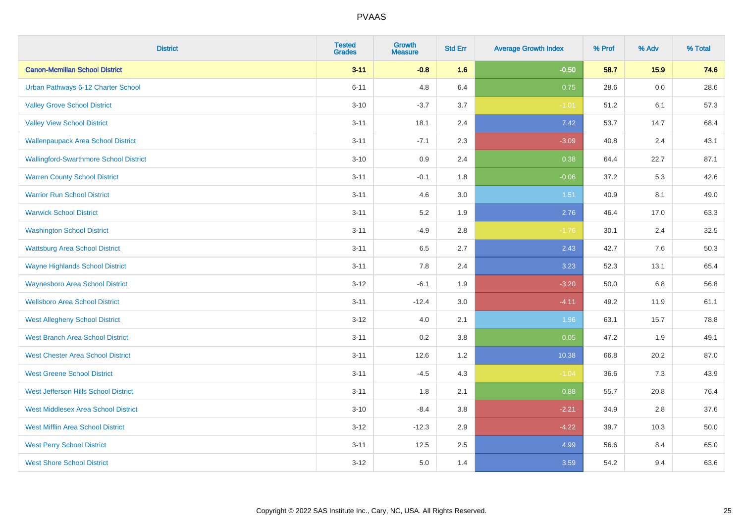| <b>District</b>                               | <b>Tested</b><br><b>Grades</b> | <b>Growth</b><br><b>Measure</b> | <b>Std Err</b> | <b>Average Growth Index</b> | % Prof | % Adv   | % Total |
|-----------------------------------------------|--------------------------------|---------------------------------|----------------|-----------------------------|--------|---------|---------|
| <b>Canon-Mcmillan School District</b>         | $3 - 11$                       | $-0.8$                          | 1.6            | $-0.50$                     | 58.7   | 15.9    | 74.6    |
| Urban Pathways 6-12 Charter School            | $6 - 11$                       | 4.8                             | 6.4            | 0.75                        | 28.6   | $0.0\,$ | 28.6    |
| <b>Valley Grove School District</b>           | $3 - 10$                       | $-3.7$                          | 3.7            | $-1.01$                     | 51.2   | 6.1     | 57.3    |
| <b>Valley View School District</b>            | $3 - 11$                       | 18.1                            | 2.4            | 7.42                        | 53.7   | 14.7    | 68.4    |
| <b>Wallenpaupack Area School District</b>     | $3 - 11$                       | $-7.1$                          | 2.3            | $-3.09$                     | 40.8   | 2.4     | 43.1    |
| <b>Wallingford-Swarthmore School District</b> | $3 - 10$                       | 0.9                             | 2.4            | 0.38                        | 64.4   | 22.7    | 87.1    |
| <b>Warren County School District</b>          | $3 - 11$                       | $-0.1$                          | 1.8            | $-0.06$                     | 37.2   | 5.3     | 42.6    |
| <b>Warrior Run School District</b>            | $3 - 11$                       | 4.6                             | 3.0            | 1.51                        | 40.9   | 8.1     | 49.0    |
| <b>Warwick School District</b>                | $3 - 11$                       | 5.2                             | 1.9            | 2.76                        | 46.4   | 17.0    | 63.3    |
| <b>Washington School District</b>             | $3 - 11$                       | $-4.9$                          | $2.8\,$        | $-1.76$                     | 30.1   | 2.4     | 32.5    |
| <b>Wattsburg Area School District</b>         | $3 - 11$                       | 6.5                             | 2.7            | 2.43                        | 42.7   | 7.6     | 50.3    |
| <b>Wayne Highlands School District</b>        | $3 - 11$                       | 7.8                             | 2.4            | 3.23                        | 52.3   | 13.1    | 65.4    |
| <b>Waynesboro Area School District</b>        | $3 - 12$                       | $-6.1$                          | 1.9            | $-3.20$                     | 50.0   | $6.8\,$ | 56.8    |
| <b>Wellsboro Area School District</b>         | $3 - 11$                       | $-12.4$                         | 3.0            | $-4.11$                     | 49.2   | 11.9    | 61.1    |
| <b>West Allegheny School District</b>         | $3 - 12$                       | 4.0                             | 2.1            | 1.96                        | 63.1   | 15.7    | 78.8    |
| <b>West Branch Area School District</b>       | $3 - 11$                       | 0.2                             | 3.8            | 0.05                        | 47.2   | 1.9     | 49.1    |
| <b>West Chester Area School District</b>      | $3 - 11$                       | 12.6                            | 1.2            | 10.38                       | 66.8   | 20.2    | 87.0    |
| <b>West Greene School District</b>            | $3 - 11$                       | $-4.5$                          | 4.3            | $-1.04$                     | 36.6   | 7.3     | 43.9    |
| West Jefferson Hills School District          | $3 - 11$                       | 1.8                             | 2.1            | 0.88                        | 55.7   | 20.8    | 76.4    |
| <b>West Middlesex Area School District</b>    | $3 - 10$                       | $-8.4$                          | 3.8            | $-2.21$                     | 34.9   | 2.8     | 37.6    |
| <b>West Mifflin Area School District</b>      | $3 - 12$                       | $-12.3$                         | 2.9            | $-4.22$                     | 39.7   | 10.3    | 50.0    |
| <b>West Perry School District</b>             | $3 - 11$                       | 12.5                            | 2.5            | 4.99                        | 56.6   | 8.4     | 65.0    |
| <b>West Shore School District</b>             | $3 - 12$                       | 5.0                             | 1.4            | 3.59                        | 54.2   | 9.4     | 63.6    |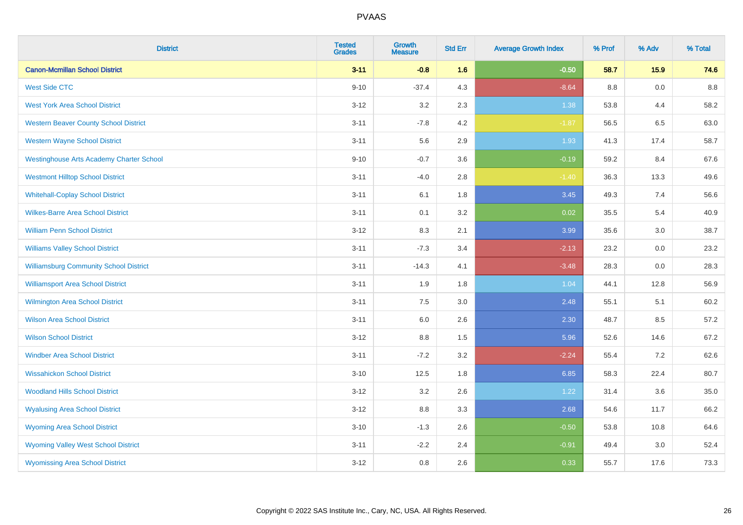| <b>District</b>                                 | <b>Tested</b><br><b>Grades</b> | <b>Growth</b><br><b>Measure</b> | <b>Std Err</b> | <b>Average Growth Index</b> | % Prof | % Adv | % Total |
|-------------------------------------------------|--------------------------------|---------------------------------|----------------|-----------------------------|--------|-------|---------|
| <b>Canon-Mcmillan School District</b>           | $3 - 11$                       | $-0.8$                          | 1.6            | $-0.50$                     | 58.7   | 15.9  | 74.6    |
| <b>West Side CTC</b>                            | $9 - 10$                       | $-37.4$                         | 4.3            | $-8.64$                     | 8.8    | 0.0   | 8.8     |
| <b>West York Area School District</b>           | $3 - 12$                       | 3.2                             | 2.3            | 1.38                        | 53.8   | 4.4   | 58.2    |
| <b>Western Beaver County School District</b>    | $3 - 11$                       | $-7.8$                          | 4.2            | $-1.87$                     | 56.5   | 6.5   | 63.0    |
| <b>Western Wayne School District</b>            | $3 - 11$                       | 5.6                             | 2.9            | 1.93                        | 41.3   | 17.4  | 58.7    |
| <b>Westinghouse Arts Academy Charter School</b> | $9 - 10$                       | $-0.7$                          | 3.6            | $-0.19$                     | 59.2   | 8.4   | 67.6    |
| <b>Westmont Hilltop School District</b>         | $3 - 11$                       | $-4.0$                          | 2.8            | $-1.40$                     | 36.3   | 13.3  | 49.6    |
| <b>Whitehall-Coplay School District</b>         | $3 - 11$                       | 6.1                             | 1.8            | 3.45                        | 49.3   | 7.4   | 56.6    |
| <b>Wilkes-Barre Area School District</b>        | $3 - 11$                       | 0.1                             | 3.2            | 0.02                        | 35.5   | 5.4   | 40.9    |
| <b>William Penn School District</b>             | $3-12$                         | 8.3                             | 2.1            | 3.99                        | 35.6   | 3.0   | 38.7    |
| <b>Williams Valley School District</b>          | $3 - 11$                       | $-7.3$                          | 3.4            | $-2.13$                     | 23.2   | 0.0   | 23.2    |
| <b>Williamsburg Community School District</b>   | $3 - 11$                       | $-14.3$                         | 4.1            | $-3.48$                     | 28.3   | 0.0   | 28.3    |
| <b>Williamsport Area School District</b>        | $3 - 11$                       | 1.9                             | 1.8            | 1.04                        | 44.1   | 12.8  | 56.9    |
| <b>Wilmington Area School District</b>          | $3 - 11$                       | $7.5\,$                         | 3.0            | 2.48                        | 55.1   | 5.1   | 60.2    |
| <b>Wilson Area School District</b>              | $3 - 11$                       | 6.0                             | 2.6            | 2.30                        | 48.7   | 8.5   | 57.2    |
| <b>Wilson School District</b>                   | $3 - 12$                       | 8.8                             | 1.5            | 5.96                        | 52.6   | 14.6  | 67.2    |
| <b>Windber Area School District</b>             | $3 - 11$                       | $-7.2$                          | 3.2            | $-2.24$                     | 55.4   | 7.2   | 62.6    |
| <b>Wissahickon School District</b>              | $3 - 10$                       | 12.5                            | 1.8            | 6.85                        | 58.3   | 22.4  | 80.7    |
| <b>Woodland Hills School District</b>           | $3 - 12$                       | 3.2                             | 2.6            | 1.22                        | 31.4   | 3.6   | 35.0    |
| <b>Wyalusing Area School District</b>           | $3 - 12$                       | 8.8                             | 3.3            | 2.68                        | 54.6   | 11.7  | 66.2    |
| <b>Wyoming Area School District</b>             | $3 - 10$                       | $-1.3$                          | 2.6            | $-0.50$                     | 53.8   | 10.8  | 64.6    |
| <b>Wyoming Valley West School District</b>      | $3 - 11$                       | $-2.2$                          | 2.4            | $-0.91$                     | 49.4   | 3.0   | 52.4    |
| <b>Wyomissing Area School District</b>          | $3 - 12$                       | $0.8\,$                         | 2.6            | 0.33                        | 55.7   | 17.6  | 73.3    |